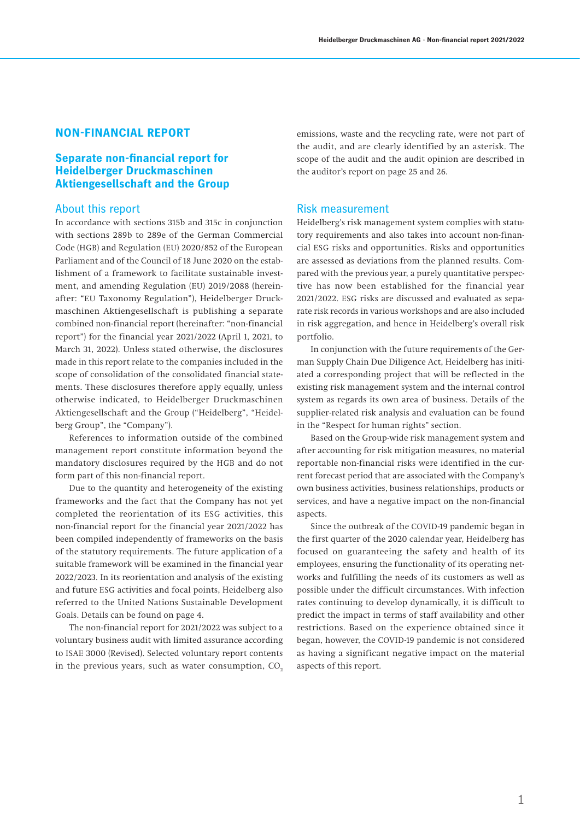# **NON-FINANCIAL REPORT**

# **Separate non-financial report for Heidelberger Druckmaschinen Aktiengesellschaft and the Group**

## About this report

In accordance with sections 315b and 315c in conjunction with sections 289b to 289e of the German Commercial Code (HGB) and Regulation (EU) 2020/852 of the European Parliament and of the Council of 18 June 2020 on the establishment of a framework to facilitate sustainable investment, and amending Regulation (EU) 2019/2088 (hereinafter: "EU Taxonomy Regulation"), Heidelberger Druckmaschinen Aktiengesellschaft is publishing a separate combined non-financial report (hereinafter: "non-financial report") for the financial year 2021/2022 (April 1, 2021, to March 31, 2022). Unless stated otherwise, the disclosures made in this report relate to the companies included in the scope of consolidation of the consolidated financial statements. These disclosures therefore apply equally, unless otherwise indicated, to Heidelberger Druckmaschinen Aktiengesellschaft and the Group ("Heidelberg", "Heidelberg Group", the "Company").

References to information outside of the combined management report constitute information beyond the mandatory disclosures required by the HGB and do not form part of this non-financial report.

Due to the quantity and heterogeneity of the existing frameworks and the fact that the Company has not yet completed the reorientation of its ESG activities, this non-financial report for the financial year 2021/2022 has been compiled independently of frameworks on the basis of the statutory requirements. The future application of a suitable framework will be examined in the financial year 2022/2023. In its reorientation and analysis of the existing and future ESG activities and focal points, Heidelberg also referred to the United Nations Sustainable Development Goals. Details can be found on page 4.

The non-financial report for 2021/2022 was subject to a voluntary business audit with limited assurance according to ISAE 3000 (Revised). Selected voluntary report contents in the previous years, such as water consumption,  $CO<sub>2</sub>$  emissions, waste and the recycling rate, were not part of the audit, and are clearly identified by an asterisk. The scope of the audit and the audit opinion are described in the auditor's report on page 25 and 26.

### Risk measurement

Heidelberg's risk management system complies with statutory requirements and also takes into account non-financial ESG risks and opportunities. Risks and opportunities are assessed as deviations from the planned results. Compared with the previous year, a purely quantitative perspective has now been established for the financial year 2021/2022. ESG risks are discussed and evaluated as separate risk records in various workshops and are also included in risk aggregation, and hence in Heidelberg's overall risk portfolio.

In conjunction with the future requirements of the German Supply Chain Due Diligence Act, Heidelberg has initiated a corresponding project that will be reflected in the existing risk management system and the internal control system as regards its own area of business. Details of the supplier-related risk analysis and evaluation can be found in the "Respect for human rights" section.

Based on the Group-wide risk management system and after accounting for risk mitigation measures, no material reportable non-financial risks were identified in the current forecast period that are associated with the Company's own business activities, business relationships, products or services, and have a negative impact on the non-financial aspects.

Since the outbreak of the COVID-19 pandemic began in the first quarter of the 2020 calendar year, Heidelberg has focused on guaranteeing the safety and health of its employees, ensuring the functionality of its operating networks and fulfilling the needs of its customers as well as possible under the difficult circumstances. With infection rates continuing to develop dynamically, it is difficult to predict the impact in terms of staff availability and other restrictions. Based on the experience obtained since it began, however, the COVID-19 pandemic is not considered as having a significant negative impact on the material aspects of this report.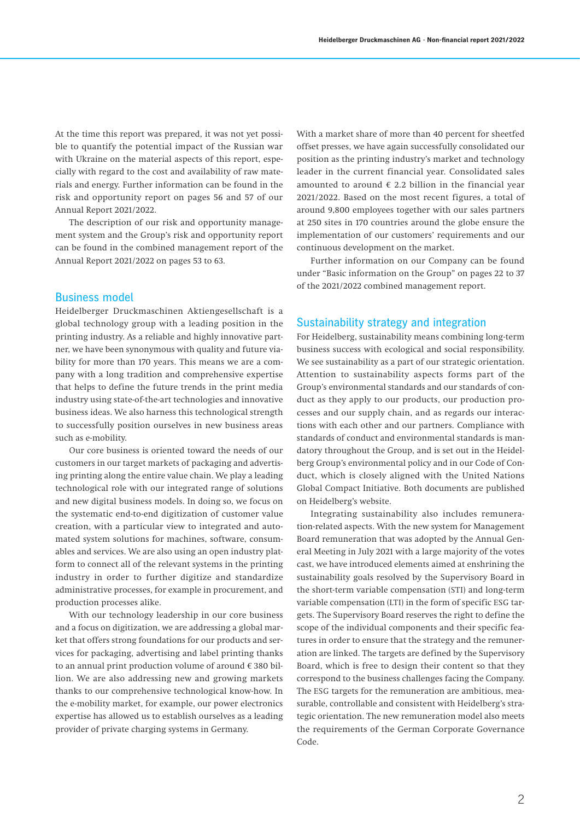At the time this report was prepared, it was not yet possible to quantify the potential impact of the Russian war with Ukraine on the material aspects of this report, especially with regard to the cost and availability of raw materials and energy. Further information can be found in the risk and opportunity report on pages 56 and 57 of our Annual Report 2021/2022.

The description of our risk and opportunity management system and the Group's risk and opportunity report can be found in the combined management report of the Annual Report 2021/2022 on pages 53 to 63.

## Business model

Heidelberger Druckmaschinen Aktiengesellschaft is a global technology group with a leading position in the printing industry. As a reliable and highly innovative partner, we have been synonymous with quality and future viability for more than 170 years. This means we are a company with a long tradition and comprehensive expertise that helps to define the future trends in the print media industry using state-of-the-art technologies and innovative business ideas. We also harness this technological strength to successfully position ourselves in new business areas such as e-mobility.

Our core business is oriented toward the needs of our customers in our target markets of packaging and advertising printing along the entire value chain. We play a leading technological role with our integrated range of solutions and new digital business models. In doing so, we focus on the systematic end-to-end digitization of customer value creation, with a particular view to integrated and automated system solutions for machines, software, consumables and services. We are also using an open industry platform to connect all of the relevant systems in the printing industry in order to further digitize and standardize administrative processes, for example in procurement, and production processes alike.

With our technology leadership in our core business and a focus on digitization, we are addressing a global market that offers strong foundations for our products and services for packaging, advertising and label printing thanks to an annual print production volume of around € 380 billion. We are also addressing new and growing markets thanks to our comprehensive technological know-how. In the e-mobility market, for example, our power electronics expertise has allowed us to establish ourselves as a leading provider of private charging systems in Germany.

With a market share of more than 40 percent for sheetfed offset presses, we have again successfully consolidated our position as the printing industry's market and technology leader in the current financial year. Consolidated sales amounted to around  $\epsilon$  2.2 billion in the financial year 2021/2022. Based on the most recent figures, a total of around 9,800 employees together with our sales partners at 250 sites in 170 countries around the globe ensure the implementation of our customers' requirements and our continuous development on the market.

Further information on our Company can be found under "Basic information on the Group" on pages 22 to 37 of the 2021/2022 combined management report.

### Sustainability strategy and integration

For Heidelberg, sustainability means combining long-term business success with ecological and social responsibility. We see sustainability as a part of our strategic orientation. Attention to sustainability aspects forms part of the Group's environmental standards and our standards of conduct as they apply to our products, our production processes and our supply chain, and as regards our interactions with each other and our partners. Compliance with standards of conduct and environmental standards is mandatory throughout the Group, and is set out in the Heidelberg Group's environmental policy and in our Code of Conduct, which is closely aligned with the United Nations Global Compact Initiative. Both documents are published on Heidelberg's website.

Integrating sustainability also includes remuneration-related aspects. With the new system for Management Board remuneration that was adopted by the Annual General Meeting in July 2021 with a large majority of the votes cast, we have introduced elements aimed at enshrining the sustainability goals resolved by the Supervisory Board in the short-term variable compensation (STI) and long-term variable compensation (LTI) in the form of specific ESG targets. The Supervisory Board reserves the right to define the scope of the individual components and their specific features in order to ensure that the strategy and the remuneration are linked. The targets are defined by the Supervisory Board, which is free to design their content so that they correspond to the business challenges facing the Company. The ESG targets for the remuneration are ambitious, measurable, controllable and consistent with Heidelberg's strategic orientation. The new remuneration model also meets the requirements of the German Corporate Governance Code.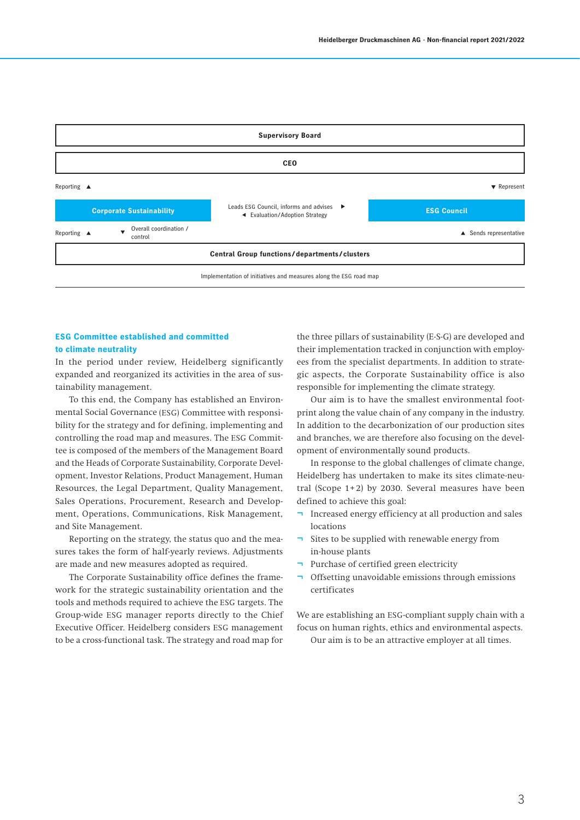

### **ESG Committee established and committed to climate neutrality**

In the period under review, Heidelberg significantly expanded and reorganized its activities in the area of sustainability management.

To this end, the Company has established an Environmental Social Governance (ESG) Committee with responsibility for the strategy and for defining, implementing and controlling the road map and measures. The ESG Committee is composed of the members of the Management Board and the Heads of Corporate Sustainability, Corporate Development, Investor Relations, Product Management, Human Resources, the Legal Department, Quality Management, Sales Operations, Procurement, Research and Development, Operations, Communications, Risk Management, and Site Management.

Reporting on the strategy, the status quo and the measures takes the form of half-yearly reviews. Adjustments are made and new measures adopted as required.

The Corporate Sustainability office defines the framework for the strategic sustainability orientation and the tools and methods required to achieve the ESG targets. The Group-wide ESG manager reports directly to the Chief Executive Officer. Heidelberg considers ESG management to be a cross-functional task. The strategy and road map for

the three pillars of sustainability (E-S-G) are developed and their implementation tracked in conjunction with employees from the specialist departments. In addition to strategic aspects, the Corporate Sustainability office is also responsible for implementing the climate strategy.

Our aim is to have the smallest environmental footprint along the value chain of any company in the industry. In addition to the decarbonization of our production sites and branches, we are therefore also focusing on the development of environmentally sound products.

In response to the global challenges of climate change, Heidelberg has undertaken to make its sites climate-neutral (Scope  $1+2$ ) by 2030. Several measures have been defined to achieve this goal:

- Increased energy efficiency at all production and sales locations
- ¬ Sites to be supplied with renewable energy from in-house plants
- ¬ Purchase of certified green electricity
- ¬ Offsetting unavoidable emissions through emissions certificates

We are establishing an ESG-compliant supply chain with a focus on human rights, ethics and environmental aspects.

Our aim is to be an attractive employer at all times.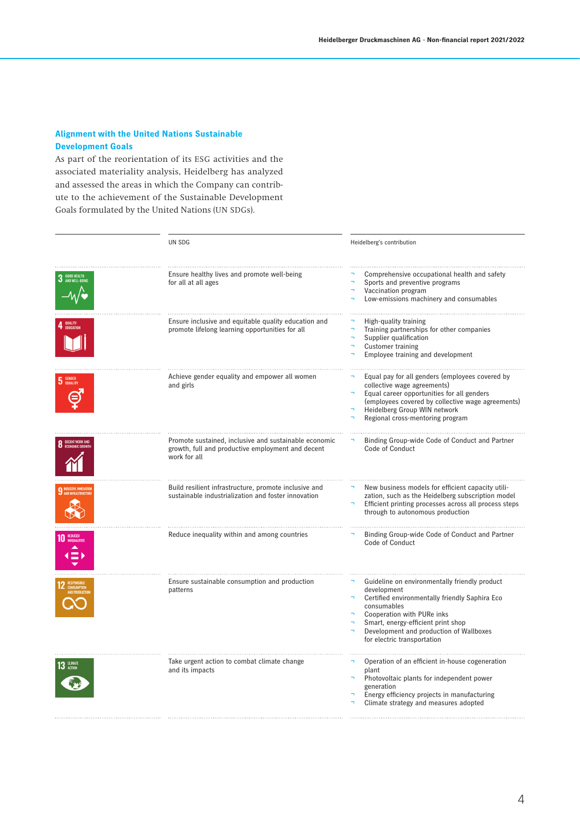# **Alignment with the United Nations Sustainable Development Goals**

As part of the reorientation of its ESG activities and the associated materiality analysis, Heidelberg has analyzed and assessed the areas in which the Company can contribute to the achievement of the Sustainable Development Goals formulated by the United Nations (UN SDGs).

|                 | UN SDG                                                                                                                     | Heidelberg's contribution                                                                                                                                                                                                                                                         |  |  |  |
|-----------------|----------------------------------------------------------------------------------------------------------------------------|-----------------------------------------------------------------------------------------------------------------------------------------------------------------------------------------------------------------------------------------------------------------------------------|--|--|--|
|                 | Ensure healthy lives and promote well-being<br>for all at all ages                                                         | Comprehensive occupational health and safety<br>Sports and preventive programs<br>$\overline{\phantom{0}}$<br>Vaccination program<br>Low-emissions machinery and consumables                                                                                                      |  |  |  |
| QUALITY         | Ensure inclusive and equitable quality education and<br>promote lifelong learning opportunities for all                    | High-quality training<br>Training partnerships for other companies<br>Supplier qualification<br><b>Customer training</b><br>Employee training and development                                                                                                                     |  |  |  |
| <b>5</b> GENDER | Achieve gender equality and empower all women<br>and girls                                                                 | Equal pay for all genders (employees covered by<br>collective wage agreements)<br>Equal career opportunities for all genders<br>(employees covered by collective wage agreements)<br>Heidelberg Group WIN network<br>Regional cross-mentoring program                             |  |  |  |
|                 | Promote sustained, inclusive and sustainable economic<br>growth, full and productive employment and decent<br>work for all | Binding Group-wide Code of Conduct and Partner<br>Code of Conduct                                                                                                                                                                                                                 |  |  |  |
|                 | Build resilient infrastructure, promote inclusive and<br>sustainable industrialization and foster innovation               | New business models for efficient capacity utili-<br>zation, such as the Heidelberg subscription model<br>Efficient printing processes across all process steps<br>through to autonomous production                                                                               |  |  |  |
|                 | Reduce inequality within and among countries                                                                               | Binding Group-wide Code of Conduct and Partner<br>Code of Conduct                                                                                                                                                                                                                 |  |  |  |
|                 | Ensure sustainable consumption and production<br>patterns                                                                  | Guideline on environmentally friendly product<br>development<br>Certified environmentally friendly Saphira Eco<br>÷.<br>consumables<br>Cooperation with PURe inks<br>Smart, energy-efficient print shop<br>Development and production of Wallboxes<br>for electric transportation |  |  |  |
| <b>CLIMATI</b>  | Take urgent action to combat climate change<br>and its impacts                                                             | Operation of an efficient in-house cogeneration<br>plant<br>Photovoltaic plants for independent power<br>generation<br>Energy efficiency projects in manufacturing<br>Climate strategy and measures adopted                                                                       |  |  |  |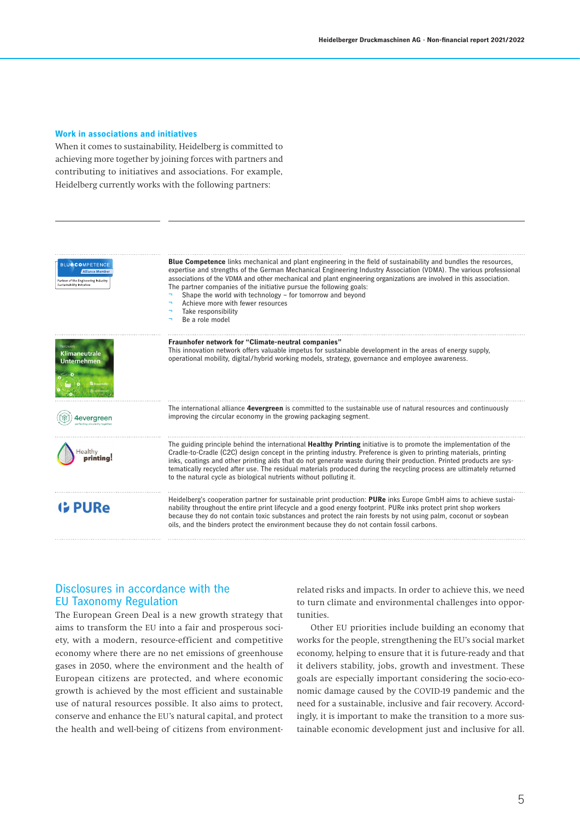### **Work in associations and initiatives**

When it comes to sustainability, Heidelberg is committed to achieving more together by joining forces with partners and contributing to initiatives and associations. For example, Heidelberg currently works with the following partners:

| <b>BLUeCOMPETENCE</b><br><b>Alliance Membe</b><br>Partner of the Engineering Industry<br>Sustainability Initiative | <b>Blue Competence</b> links mechanical and plant engineering in the field of sustainability and bundles the resources,<br>expertise and strengths of the German Mechanical Engineering Industry Association (VDMA). The various professional<br>associations of the VDMA and other mechanical and plant engineering organizations are involved in this association.<br>The partner companies of the initiative pursue the following goals:<br>Shape the world with technology - for tomorrow and beyond<br>Achieve more with fewer resources<br>Take responsibility<br>h<br>Be a role model<br>h |
|--------------------------------------------------------------------------------------------------------------------|---------------------------------------------------------------------------------------------------------------------------------------------------------------------------------------------------------------------------------------------------------------------------------------------------------------------------------------------------------------------------------------------------------------------------------------------------------------------------------------------------------------------------------------------------------------------------------------------------|
| Netzwerk<br><b>Klimaneutrale</b><br><b>Unternehmen</b>                                                             | Fraunhofer network for "Climate-neutral companies"<br>This innovation network offers valuable impetus for sustainable development in the areas of energy supply,<br>operational mobility, digital/hybrid working models, strategy, governance and employee awareness.                                                                                                                                                                                                                                                                                                                             |
| 4everaree                                                                                                          | The international alliance 4evergreen is committed to the sustainable use of natural resources and continuously<br>improving the circular economy in the growing packaging segment.                                                                                                                                                                                                                                                                                                                                                                                                               |
| Healthv                                                                                                            | The guiding principle behind the international <b>Healthy Printing</b> initiative is to promote the implementation of the<br>Cradle-to-Cradle (C2C) design concept in the printing industry. Preference is given to printing materials, printing<br>inks, coatings and other printing aids that do not generate waste during their production. Printed products are sys-<br>tematically recycled after use. The residual materials produced during the recycling process are ultimately returned<br>to the natural cycle as biological nutrients without polluting it.                            |
| <b>G</b> PURe                                                                                                      | Heidelberg's cooperation partner for sustainable print production: PURe inks Europe GmbH aims to achieve sustai-<br>nability throughout the entire print lifecycle and a good energy footprint. PURe inks protect print shop workers<br>because they do not contain toxic substances and protect the rain forests by not using palm, coconut or soybean<br>oils, and the binders protect the environment because they do not contain fossil carbons.                                                                                                                                              |

# Disclosures in accordance with the EU Taxonomy Regulation

The European Green Deal is a new growth strategy that aims to transform the EU into a fair and prosperous society, with a modern, resource-efficient and competitive economy where there are no net emissions of greenhouse gases in 2050, where the environment and the health of European citizens are protected, and where economic growth is achieved by the most efficient and sustainable use of natural resources possible. It also aims to protect, conserve and enhance the EU's natural capital, and protect the health and well-being of citizens from environmentrelated risks and impacts. In order to achieve this, we need to turn climate and environmental challenges into opportunities.

Other EU priorities include building an economy that works for the people, strengthening the EU's social market economy, helping to ensure that it is future-ready and that it delivers stability, jobs, growth and investment. These goals are especially important considering the socio-economic damage caused by the COVID-19 pandemic and the need for a sustainable, inclusive and fair recovery. Accordingly, it is important to make the transition to a more sustainable economic development just and inclusive for all.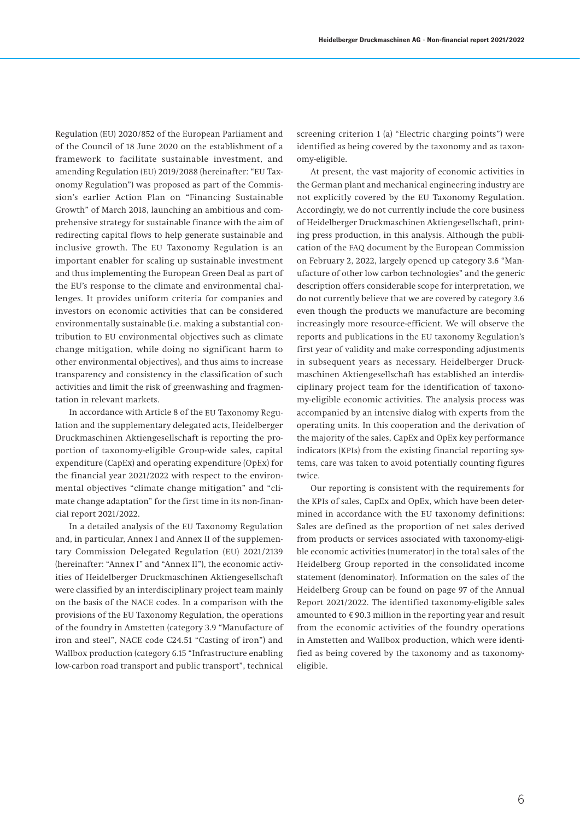Regulation (EU) 2020/852 of the European Parliament and of the Council of 18 June 2020 on the establishment of a framework to facilitate sustainable investment, and amending Regulation (EU) 2019/2088 (hereinafter: "EU Taxonomy Regulation") was proposed as part of the Commission's earlier Action Plan on "Financing Sustainable Growth" of March 2018, launching an ambitious and comprehensive strategy for sustainable finance with the aim of redirecting capital flows to help generate sustainable and inclusive growth. The EU Taxonomy Regulation is an important enabler for scaling up sustainable investment and thus implementing the European Green Deal as part of the EU's response to the climate and environmental challenges. It provides uniform criteria for companies and investors on economic activities that can be considered environmentally sustainable (i.e. making a substantial contribution to EU environmental objectives such as climate change mitigation, while doing no significant harm to other environmental objectives), and thus aims to increase transparency and consistency in the classification of such activities and limit the risk of greenwashing and fragmentation in relevant markets.

In accordance with Article 8 of the EU Taxonomy Regulation and the supplementary delegated acts, Heidelberger Druckmaschinen Aktiengesellschaft is reporting the proportion of taxonomy-eligible Group-wide sales, capital expenditure (CapEx) and operating expenditure (OpEx) for the financial year 2021/2022 with respect to the environmental objectives "climate change mitigation" and "climate change adaptation" for the first time in its non-financial report 2021/2022.

In a detailed analysis of the EU Taxonomy Regulation and, in particular, Annex I and Annex II of the supplementary Commission Delegated Regulation (EU) 2021/2139 (hereinafter: "Annex I" and "Annex II"), the economic activities of Heidelberger Druckmaschinen Aktiengesellschaft were classified by an interdisciplinary project team mainly on the basis of the NACE codes. In a comparison with the provisions of the EU Taxonomy Regulation, the operations of the foundry in Amstetten (category 3.9 "Manufacture of iron and steel", NACE code C24.51 "Casting of iron") and Wallbox production (category 6.15 "Infrastructure enabling low-carbon road transport and public transport", technical

screening criterion 1 (a) "Electric charging points") were identified as being covered by the taxonomy and as taxonomy-eligible.

At present, the vast majority of economic activities in the German plant and mechanical engineering industry are not explicitly covered by the EU Taxonomy Regulation. Accordingly, we do not currently include the core business of Heidelberger Druckmaschinen Aktiengesellschaft, printing press production, in this analysis. Although the publication of the FAQ document by the European Commission on February 2, 2022, largely opened up category 3.6 "Manufacture of other low carbon technologies" and the generic description offers considerable scope for interpretation, we do not currently believe that we are covered by category 3.6 even though the products we manufacture are becoming increasingly more resource-efficient. We will observe the reports and publications in the EU taxonomy Regulation's first year of validity and make corresponding adjustments in subsequent years as necessary. Heidelberger Druckmaschinen Aktiengesellschaft has established an interdisciplinary project team for the identification of taxonomy-eligible economic activities. The analysis process was accompanied by an intensive dialog with experts from the operating units. In this cooperation and the derivation of the majority of the sales, CapEx and OpEx key performance indicators (KPIs) from the existing financial reporting systems, care was taken to avoid potentially counting figures twice.

Our reporting is consistent with the requirements for the KPIs of sales, CapEx and OpEx, which have been determined in accordance with the EU taxonomy definitions: Sales are defined as the proportion of net sales derived from products or services associated with taxonomy-eligible economic activities (numerator) in the total sales of the Heidelberg Group reported in the consolidated income statement (denominator). Information on the sales of the Heidelberg Group can be found on page 97 of the Annual Report 2021/2022. The identified taxonomy-eligible sales amounted to  $\epsilon$  90.3 million in the reporting year and result from the economic activities of the foundry operations in Amstetten and Wallbox production, which were identified as being covered by the taxonomy and as taxonomyeligible.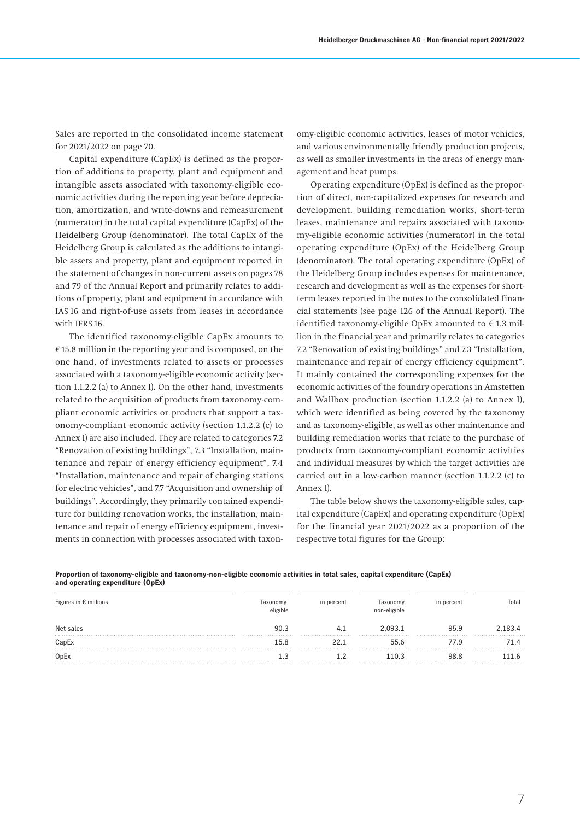Sales are reported in the consolidated income statement for 2021/2022 on page 70.

Capital expenditure (CapEx) is defined as the proportion of additions to property, plant and equipment and intangible assets associated with taxonomy-eligible economic activities during the reporting year before depreciation, amortization, and write-downs and remeasurement (numerator) in the total capital expenditure (CapEx) of the Heidelberg Group (denominator). The total CapEx of the Heidelberg Group is calculated as the additions to intangible assets and property, plant and equipment reported in the statement of changes in non-current assets on pages 78 and 79 of the Annual Report and primarily relates to additions of property, plant and equipment in accordance with IAS 16 and right-of-use assets from leases in accordance with IFRS 16.

The identified taxonomy-eligible CapEx amounts to € 15.8 million in the reporting year and is composed, on the one hand, of investments related to assets or processes associated with a taxonomy-eligible economic activity (section 1.1.2.2 (a) to Annex I). On the other hand, investments related to the acquisition of products from taxonomy-compliant economic activities or products that support a taxonomy-compliant economic activity (section 1.1.2.2 (c) to Annex I) are also included. They are related to categories 7.2 "Renovation of existing buildings", 7.3 "Installation, maintenance and repair of energy efficiency equipment", 7.4 "Installation, maintenance and repair of charging stations for electric vehicles", and 7.7 "Acquisition and ownership of buildings". Accordingly, they primarily contained expenditure for building renovation works, the installation, maintenance and repair of energy efficiency equipment, investments in connection with processes associated with taxon-

omy-eligible economic activities, leases of motor vehicles, and various environmentally friendly production projects, as well as smaller investments in the areas of energy management and heat pumps.

Operating expenditure (OpEx) is defined as the proportion of direct, non-capitalized expenses for research and development, building remediation works, short-term leases, maintenance and repairs associated with taxonomy-eligible economic activities (numerator) in the total operating expenditure (OpEx) of the Heidelberg Group (denominator). The total operating expenditure (OpEx) of the Heidelberg Group includes expenses for maintenance, research and development as well as the expenses for shortterm leases reported in the notes to the consolidated financial statements (see page 126 of the Annual Report). The identified taxonomy-eligible OpEx amounted to  $\epsilon$  1.3 million in the financial year and primarily relates to categories 7.2 "Renovation of existing buildings" and 7.3 "Installation, maintenance and repair of energy efficiency equipment". It mainly contained the corresponding expenses for the economic activities of the foundry operations in Amstetten and Wallbox production (section 1.1.2.2 (a) to Annex I), which were identified as being covered by the taxonomy and as taxonomy-eligible, as well as other maintenance and building remediation works that relate to the purchase of products from taxonomy-compliant economic activities and individual measures by which the target activities are carried out in a low-carbon manner (section 1.1.2.2 (c) to Annex I).

The table below shows the taxonomy-eligible sales, capital expenditure (CapEx) and operating expenditure (OpEx) for the financial year 2021/2022 as a proportion of the respective total figures for the Group:

**Proportion of taxonomy-eligible and taxonomy-non-eligible economic activities in total sales, capital expenditure (CapEx) and operating expenditure (OpEx)**

| Figures in $\epsilon$ millions | Taxonomy-<br>eligible       | in percent                  | Taxonomy<br>non-eligible | in percent | Total                               |
|--------------------------------|-----------------------------|-----------------------------|--------------------------|------------|-------------------------------------|
| Net sales                      | 90.3<br>                    |                             | 2.093.1<br>              | 95.9<br>   | 2.183.4<br>                         |
| CapEx                          | 15.8                        |                             | 55.6                     | 77.9       |                                     |
| OpEx                           | *************************** | *************************** | <br>110.3                | <br>98.8   | ***************************<br>11.6 |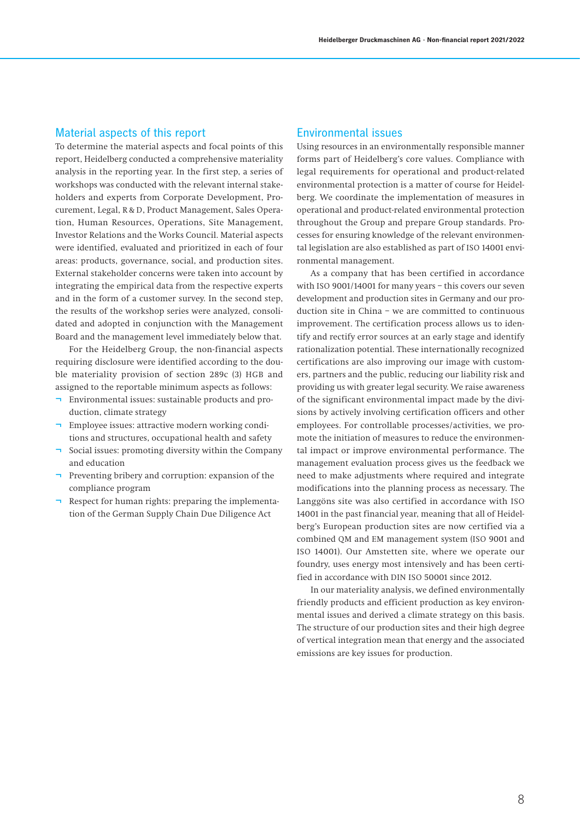# Material aspects of this report

To determine the material aspects and focal points of this report, Heidelberg conducted a comprehensive materiality analysis in the reporting year. In the first step, a series of workshops was conducted with the relevant internal stakeholders and experts from Corporate Development, Procurement, Legal, R & D, Product Management, Sales Operation, Human Resources, Operations, Site Management, Investor Relations and the Works Council. Material aspects were identified, evaluated and prioritized in each of four areas: products, governance, social, and production sites. External stakeholder concerns were taken into account by integrating the empirical data from the respective experts and in the form of a customer survey. In the second step, the results of the workshop series were analyzed, consolidated and adopted in conjunction with the Management Board and the management level immediately below that.

For the Heidelberg Group, the non-financial aspects requiring disclosure were identified according to the double materiality provision of section 289c (3) HGB and assigned to the reportable minimum aspects as follows:

- ¬ Environmental issues: sustainable products and production, climate strategy
- Employee issues: attractive modern working conditions and structures, occupational health and safety
- Social issues: promoting diversity within the Company and education
- ¬ Preventing bribery and corruption: expansion of the compliance program
- Respect for human rights: preparing the implementation of the German Supply Chain Due Diligence Act

## Environmental issues

Using resources in an environmentally responsible manner forms part of Heidelberg's core values. Compliance with legal requirements for operational and product-related environmental protection is a matter of course for Heidelberg. We coordinate the implementation of measures in operational and product-related environmental protection throughout the Group and prepare Group standards. Processes for ensuring knowledge of the relevant environmental legislation are also established as part of ISO 14001 environmental management.

As a company that has been certified in accordance with ISO 9001/14001 for many years – this covers our seven development and production sites in Germany and our production site in China – we are committed to continuous improvement. The certification process allows us to identify and rectify error sources at an early stage and identify rationalization potential. These internationally recognized certifications are also improving our image with customers, partners and the public, reducing our liability risk and providing us with greater legal security. We raise awareness of the significant environmental impact made by the divisions by actively involving certification officers and other employees. For controllable processes/activities, we promote the initiation of measures to reduce the environmental impact or improve environmental performance. The management evaluation process gives us the feedback we need to make adjustments where required and integrate modifications into the planning process as necessary. The Langgöns site was also certified in accordance with ISO 14001 in the past financial year, meaning that all of Heidelberg's European production sites are now certified via a combined QM and EM management system (ISO 9001 and ISO 14001). Our Amstetten site, where we operate our foundry, uses energy most intensively and has been certified in accordance with DIN ISO 50001 since 2012.

In our materiality analysis, we defined environmentally friendly products and efficient production as key environmental issues and derived a climate strategy on this basis. The structure of our production sites and their high degree of vertical integration mean that energy and the associated emissions are key issues for production.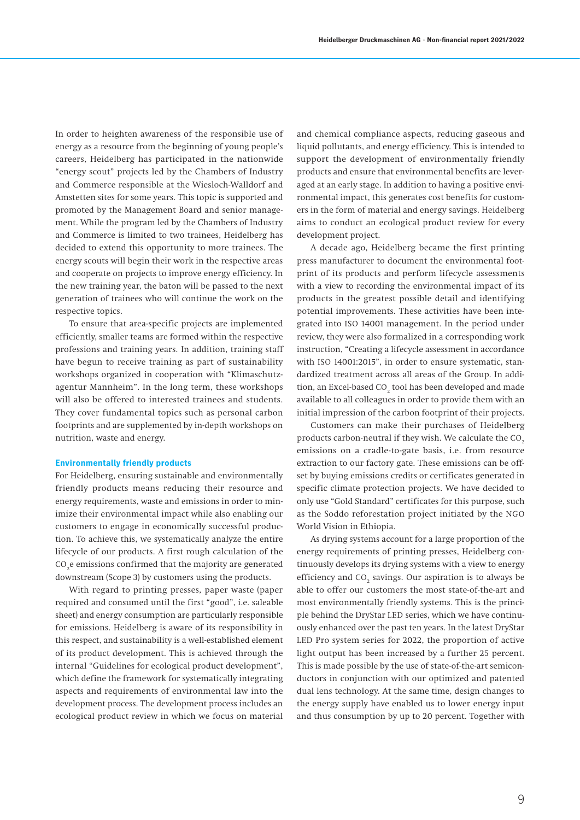In order to heighten awareness of the responsible use of energy as a resource from the beginning of young people's careers, Heidelberg has participated in the nationwide "energy scout" projects led by the Chambers of Industry and Commerce responsible at the Wiesloch-Walldorf and Amstetten sites for some years. This topic is supported and promoted by the Management Board and senior management. While the program led by the Chambers of Industry and Commerce is limited to two trainees, Heidelberg has decided to extend this opportunity to more trainees. The energy scouts will begin their work in the respective areas and cooperate on projects to improve energy efficiency. In the new training year, the baton will be passed to the next generation of trainees who will continue the work on the respective topics.

To ensure that area-specific projects are implemented efficiently, smaller teams are formed within the respective professions and training years. In addition, training staff have begun to receive training as part of sustainability workshops organized in cooperation with "Klimaschutzagentur Mannheim". In the long term, these workshops will also be offered to interested trainees and students. They cover fundamental topics such as personal carbon footprints and are supplemented by in-depth workshops on nutrition, waste and energy.

### **Environmentally friendly products**

For Heidelberg, ensuring sustainable and environmentally friendly products means reducing their resource and energy requirements, waste and emissions in order to minimize their environmental impact while also enabling our customers to engage in economically successful production. To achieve this, we systematically analyze the entire lifecycle of our products. A first rough calculation of the CO $_{\textrm{\tiny{2}}}$ e emissions confirmed that the majority are generated downstream (Scope 3) by customers using the products.

With regard to printing presses, paper waste (paper required and consumed until the first "good", i.e. saleable sheet) and energy consumption are particularly responsible for emissions. Heidelberg is aware of its responsibility in this respect, and sustainability is a well-established element of its product development. This is achieved through the internal "Guidelines for ecological product development", which define the framework for systematically integrating aspects and requirements of environmental law into the development process. The development process includes an ecological product review in which we focus on material

and chemical compliance aspects, reducing gaseous and liquid pollutants, and energy efficiency. This is intended to support the development of environmentally friendly products and ensure that environmental benefits are leveraged at an early stage. In addition to having a positive environmental impact, this generates cost benefits for customers in the form of material and energy savings. Heidelberg aims to conduct an ecological product review for every development project.

A decade ago, Heidelberg became the first printing press manufacturer to document the environmental footprint of its products and perform lifecycle assessments with a view to recording the environmental impact of its products in the greatest possible detail and identifying potential improvements. These activities have been integrated into ISO 14001 management. In the period under review, they were also formalized in a corresponding work instruction, "Creating a lifecycle assessment in accordance with ISO 14001:2015", in order to ensure systematic, standardized treatment across all areas of the Group. In addition, an Excel-based CO $_{\textrm{\tiny{2}}}$  tool has been developed and made available to all colleagues in order to provide them with an initial impression of the carbon footprint of their projects.

Customers can make their purchases of Heidelberg products carbon-neutral if they wish. We calculate the CO<sub>2</sub> emissions on a cradle-to-gate basis, i.e. from resource extraction to our factory gate. These emissions can be offset by buying emissions credits or certificates generated in specific climate protection projects. We have decided to only use "Gold Standard" certificates for this purpose, such as the Soddo reforestation project initiated by the NGO World Vision in Ethiopia.

As drying systems account for a large proportion of the energy requirements of printing presses, Heidelberg continuously develops its drying systems with a view to energy efficiency and  $CO_2$  savings. Our aspiration is to always be able to offer our customers the most state-of-the-art and most environmentally friendly systems. This is the principle behind the DryStar LED series, which we have continuously enhanced over the past ten years. In the latest DryStar LED Pro system series for 2022, the proportion of active light output has been increased by a further 25 percent. This is made possible by the use of state-of-the-art semiconductors in conjunction with our optimized and patented dual lens technology. At the same time, design changes to the energy supply have enabled us to lower energy input and thus consumption by up to 20 percent. Together with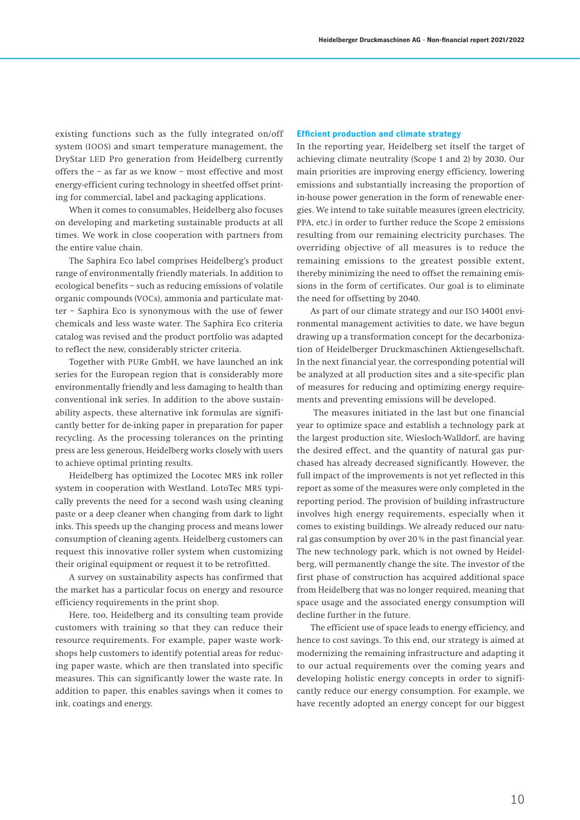existing functions such as the fully integrated on/off system (IOOS) and smart temperature management, the DryStar LED Pro generation from Heidelberg currently offers the – as far as we know – most effective and most energy-efficient curing technology in sheetfed offset printing for commercial, label and packaging applications.

When it comes to consumables, Heidelberg also focuses on developing and marketing sustainable products at all times. We work in close cooperation with partners from the entire value chain.

The Saphira Eco label comprises Heidelberg's product range of environmentally friendly materials. In addition to ecological benefits – such as reducing emissions of volatile organic compounds (VOCs), ammonia and particulate matter – Saphira Eco is synonymous with the use of fewer chemicals and less waste water. The Saphira Eco criteria catalog was revised and the product portfolio was adapted to reflect the new, considerably stricter criteria.

Together with PURe GmbH, we have launched an ink series for the European region that is considerably more environmentally friendly and less damaging to health than conventional ink series. In addition to the above sustainability aspects, these alternative ink formulas are significantly better for de-inking paper in preparation for paper recycling. As the processing tolerances on the printing press are less generous, Heidelberg works closely with users to achieve optimal printing results.

Heidelberg has optimized the Locotec MRS ink roller system in cooperation with Westland. LotoTec MRS typically prevents the need for a second wash using cleaning paste or a deep cleaner when changing from dark to light inks. This speeds up the changing process and means lower consumption of cleaning agents. Heidelberg customers can request this innovative roller system when customizing their original equipment or request it to be retrofitted.

A survey on sustainability aspects has confirmed that the market has a particular focus on energy and resource efficiency requirements in the print shop.

Here, too, Heidelberg and its consulting team provide customers with training so that they can reduce their resource requirements. For example, paper waste workshops help customers to identify potential areas for reducing paper waste, which are then translated into specific measures. This can significantly lower the waste rate. In addition to paper, this enables savings when it comes to ink, coatings and energy.

### **Efficient production and climate strategy**

In the reporting year, Heidelberg set itself the target of achieving climate neutrality (Scope 1 and 2) by 2030. Our main priorities are improving energy efficiency, lowering emissions and substantially increasing the proportion of in-house power generation in the form of renewable energies. We intend to take suitable measures (green electricity, PPA, etc.) in order to further reduce the Scope 2 emissions resulting from our remaining electricity purchases. The overriding objective of all measures is to reduce the remaining emissions to the greatest possible extent, thereby minimizing the need to offset the remaining emissions in the form of certificates. Our goal is to eliminate the need for offsetting by 2040.

As part of our climate strategy and our ISO 14001 environmental management activities to date, we have begun drawing up a transformation concept for the decarbonization of Heidelberger Druckmaschinen Aktiengesellschaft. In the next financial year, the corresponding potential will be analyzed at all production sites and a site-specific plan of measures for reducing and optimizing energy requirements and preventing emissions will be developed.

 The measures initiated in the last but one financial year to optimize space and establish a technology park at the largest production site, Wiesloch-Walldorf, are having the desired effect, and the quantity of natural gas purchased has already decreased significantly. However, the full impact of the improvements is not yet reflected in this report as some of the measures were only completed in the reporting period. The provision of building infrastructure involves high energy requirements, especially when it comes to existing buildings. We already reduced our natural gas consumption by over 20% in the past financial year. The new technology park, which is not owned by Heidelberg, will permanently change the site. The investor of the first phase of construction has acquired additional space from Heidelberg that was no longer required, meaning that space usage and the associated energy consumption will decline further in the future.

The efficient use of space leads to energy efficiency, and hence to cost savings. To this end, our strategy is aimed at modernizing the remaining infrastructure and adapting it to our actual requirements over the coming years and developing holistic energy concepts in order to significantly reduce our energy consumption. For example, we have recently adopted an energy concept for our biggest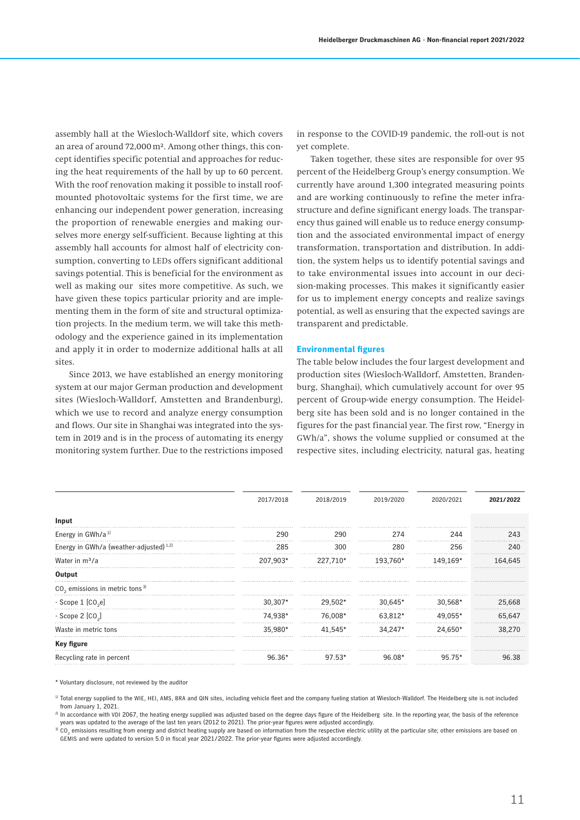assembly hall at the Wiesloch-Walldorf site, which covers an area of around 72,000m². Among other things, this concept identifies specific potential and approaches for reducing the heat requirements of the hall by up to 60 percent. With the roof renovation making it possible to install roofmounted photovoltaic systems for the first time, we are enhancing our independent power generation, increasing the proportion of renewable energies and making ourselves more energy self-sufficient. Because lighting at this assembly hall accounts for almost half of electricity consumption, converting to LEDs offers significant additional savings potential. This is beneficial for the environment as well as making our sites more competitive. As such, we have given these topics particular priority and are implementing them in the form of site and structural optimization projects. In the medium term, we will take this methodology and the experience gained in its implementation and apply it in order to modernize additional halls at all sites.

Since 2013, we have established an energy monitoring system at our major German production and development sites (Wiesloch-Walldorf, Amstetten and Brandenburg), which we use to record and analyze energy consumption and flows. Our site in Shanghai was integrated into the system in 2019 and is in the process of automating its energy monitoring system further. Due to the restrictions imposed

in response to the COVID-19 pandemic, the roll-out is not yet complete.

Taken together, these sites are responsible for over 95 percent of the Heidelberg Group's energy consumption. We currently have around 1,300 integrated measuring points and are working continuously to refine the meter infrastructure and define significant energy loads. The transparency thus gained will enable us to reduce energy consumption and the associated environmental impact of energy transformation, transportation and distribution. In addition, the system helps us to identify potential savings and to take environmental issues into account in our decision-making processes. This makes it significantly easier for us to implement energy concepts and realize savings potential, as well as ensuring that the expected savings are transparent and predictable.

#### **Environmental figures**

The table below includes the four largest development and production sites (Wiesloch-Walldorf, Amstetten, Brandenburg, Shanghai), which cumulatively account for over 95 percent of Group-wide energy consumption. The Heidelberg site has been sold and is no longer contained in the figures for the past financial year. The first row, "Energy in GWh/a", shows the volume supplied or consumed at the respective sites, including electricity, natural gas, heating

|                                                    | 2017/2018 | 2018/2019 | 2019/2020 | 2020/2021 | 2021/2022 |
|----------------------------------------------------|-----------|-----------|-----------|-----------|-----------|
| Input                                              |           |           |           |           |           |
| Energy in GWh/a <sup>1)</sup>                      | 290       | 290       | 274       | 244       | 243       |
| Energy in GWh/a (weather-adjusted) <sup>1,2)</sup> | 285       | 300       | 280       | 256       | 240       |
| Water in m <sup>3</sup> /a                         | 207,903*  | 227,710*  | 193,760*  | 149.169*  | 164.645   |
| Output                                             |           |           |           |           |           |
| $CO2$ emissions in metric tons $3$                 |           |           |           |           |           |
| - Scope $1$ $[CO_2e]$                              | $30,307*$ | 29,502*   | 30,645*   | 30,568*   | 25,668    |
| - Scope 2 $[CO2]$                                  | 74,938*   | 76,008*   | 63,812*   | 49,055*   | 65,647    |
| Waste in metric tons                               | 35.980*   | 41.545*   | 34.247*   | 24.650*   | 38,270    |
| Key figure                                         |           |           |           |           |           |
| Recycling rate in percent                          | 96.36*    | $97.53*$  |           |           |           |
|                                                    |           |           |           |           |           |

\* Voluntary disclosure, not reviewed by the auditor

1) Total energy supplied to the WIE, HEI, AMS, BRA and QIN sites, including vehicle fleet and the company fueling station at Wiesloch-Walldorf. The Heidelberg site is not included from January 1, 2021.

2) In accordance with VDI 2067, the heating energy supplied was adjusted based on the degree days figure of the Heidelberg site. In the reporting year, the basis of the reference years was updated to the average of the last ten years (2012 to 2021). The prior-year figures were adjusted accordingly.

 $^{\rm 30}$  CO<sub>2</sub> emissions resulting from energy and district heating supply are based on information from the respective electric utility at the particular site; other emissions are based on GEMIS and were updated to version 5.0 in fiscal year 2021/2022. The prior-year figures were adjusted accordingly.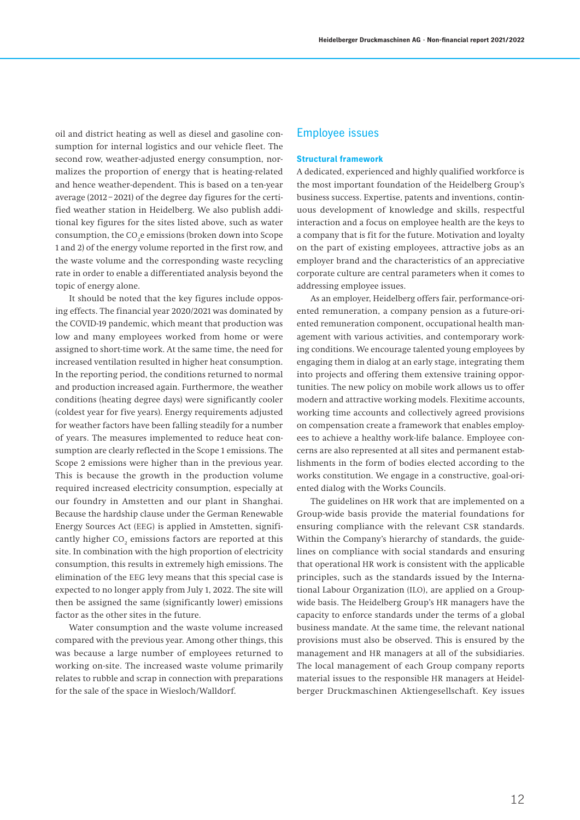oil and district heating as well as diesel and gasoline consumption for internal logistics and our vehicle fleet. The second row, weather-adjusted energy consumption, normalizes the proportion of energy that is heating-related and hence weather-dependent. This is based on a ten-year average (2012–2021) of the degree day figures for the certified weather station in Heidelberg. We also publish additional key figures for the sites listed above, such as water consumption, the CO<sub>2</sub>e emissions (broken down into Scope 1 and 2) of the energy volume reported in the first row, and the waste volume and the corresponding waste recycling rate in order to enable a differentiated analysis beyond the topic of energy alone.

It should be noted that the key figures include opposing effects. The financial year 2020/2021 was dominated by the COVID-19 pandemic, which meant that production was low and many employees worked from home or were assigned to short-time work. At the same time, the need for increased ventilation resulted in higher heat consumption. In the reporting period, the conditions returned to normal and production increased again. Furthermore, the weather conditions (heating degree days) were significantly cooler (coldest year for five years). Energy requirements adjusted for weather factors have been falling steadily for a number of years. The measures implemented to reduce heat consumption are clearly reflected in the Scope 1 emissions. The Scope 2 emissions were higher than in the previous year. This is because the growth in the production volume required increased electricity consumption, especially at our foundry in Amstetten and our plant in Shanghai. Because the hardship clause under the German Renewable Energy Sources Act (EEG) is applied in Amstetten, significantly higher  $\mathrm{CO}_2$  emissions factors are reported at this site. In combination with the high proportion of electricity consumption, this results in extremely high emissions. The elimination of the EEG levy means that this special case is expected to no longer apply from July 1, 2022. The site will then be assigned the same (significantly lower) emissions factor as the other sites in the future.

Water consumption and the waste volume increased compared with the previous year. Among other things, this was because a large number of employees returned to working on-site. The increased waste volume primarily relates to rubble and scrap in connection with preparations for the sale of the space in Wiesloch/Walldorf.

# Employee issues

#### **Structural framework**

A dedicated, experienced and highly qualified workforce is the most important foundation of the Heidelberg Group's business success. Expertise, patents and inventions, continuous development of knowledge and skills, respectful interaction and a focus on employee health are the keys to a company that is fit for the future. Motivation and loyalty on the part of existing employees, attractive jobs as an employer brand and the characteristics of an appreciative corporate culture are central parameters when it comes to addressing employee issues.

As an employer, Heidelberg offers fair, performance-oriented remuneration, a company pension as a future-oriented remuneration component, occupational health management with various activities, and contemporary working conditions. We encourage talented young employees by engaging them in dialog at an early stage, integrating them into projects and offering them extensive training opportunities. The new policy on mobile work allows us to offer modern and attractive working models. Flexitime accounts, working time accounts and collectively agreed provisions on compensation create a framework that enables employees to achieve a healthy work-life balance. Employee concerns are also represented at all sites and permanent establishments in the form of bodies elected according to the works constitution. We engage in a constructive, goal-oriented dialog with the Works Councils.

The guidelines on HR work that are implemented on a Group-wide basis provide the material foundations for ensuring compliance with the relevant CSR standards. Within the Company's hierarchy of standards, the guidelines on compliance with social standards and ensuring that operational HR work is consistent with the applicable principles, such as the standards issued by the International Labour Organization (ILO), are applied on a Groupwide basis. The Heidelberg Group's HR managers have the capacity to enforce standards under the terms of a global business mandate. At the same time, the relevant national provisions must also be observed. This is ensured by the management and HR managers at all of the subsidiaries. The local management of each Group company reports material issues to the responsible HR managers at Heidelberger Druckmaschinen Aktiengesellschaft. Key issues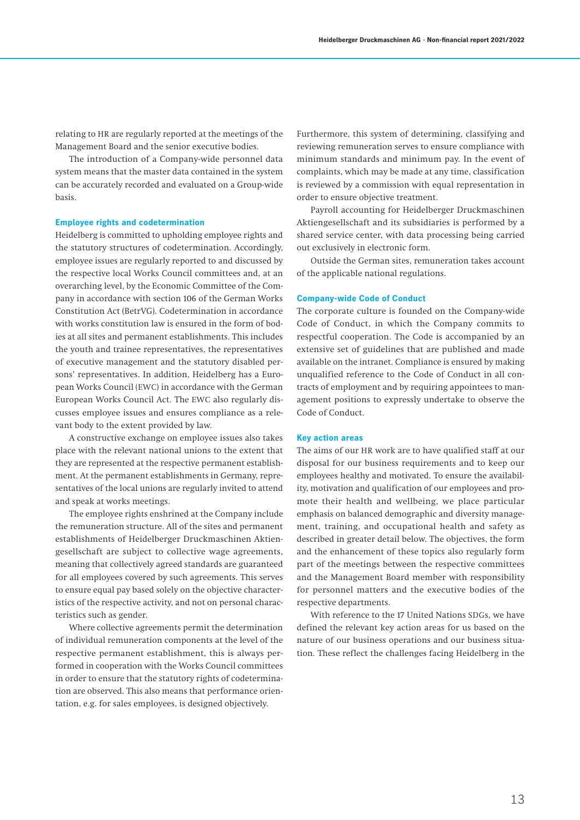relating to HR are regularly reported at the meetings of the Management Board and the senior executive bodies.

The introduction of a Company-wide personnel data system means that the master data contained in the system can be accurately recorded and evaluated on a Group-wide basis.

#### **Employee rights and codetermination**

Heidelberg is committed to upholding employee rights and the statutory structures of codetermination. Accordingly, employee issues are regularly reported to and discussed by the respective local Works Council committees and, at an overarching level, by the Economic Committee of the Company in accordance with section 106 of the German Works Constitution Act (BetrVG). Codetermination in accordance with works constitution law is ensured in the form of bodies at all sites and permanent establishments. This includes the youth and trainee representatives, the representatives of executive management and the statutory disabled persons' representatives. In addition, Heidelberg has a European Works Council (EWC) in accordance with the German European Works Council Act. The EWC also regularly discusses employee issues and ensures compliance as a relevant body to the extent provided by law.

A constructive exchange on employee issues also takes place with the relevant national unions to the extent that they are represented at the respective permanent establishment. At the permanent establishments in Germany, representatives of the local unions are regularly invited to attend and speak at works meetings.

The employee rights enshrined at the Company include the remuneration structure. All of the sites and permanent establishments of Heidelberger Druckmaschinen Aktiengesellschaft are subject to collective wage agreements, meaning that collectively agreed standards are guaranteed for all employees covered by such agreements. This serves to ensure equal pay based solely on the objective characteristics of the respective activity, and not on personal characteristics such as gender.

Where collective agreements permit the determination of individual remuneration components at the level of the respective permanent establishment, this is always performed in cooperation with the Works Council committees in order to ensure that the statutory rights of codetermination are observed. This also means that performance orientation, e.g. for sales employees, is designed objectively.

Furthermore, this system of determining, classifying and reviewing remuneration serves to ensure compliance with minimum standards and minimum pay. In the event of complaints, which may be made at any time, classification is reviewed by a commission with equal representation in order to ensure objective treatment.

Payroll accounting for Heidelberger Druckmaschinen Aktiengesellschaft and its subsidiaries is performed by a shared service center, with data processing being carried out exclusively in electronic form.

Outside the German sites, remuneration takes account of the applicable national regulations.

### **Company-wide Code of Conduct**

The corporate culture is founded on the Company-wide Code of Conduct, in which the Company commits to respectful cooperation. The Code is accompanied by an extensive set of guidelines that are published and made available on the intranet. Compliance is ensured by making unqualified reference to the Code of Conduct in all contracts of employment and by requiring appointees to management positions to expressly undertake to observe the Code of Conduct.

#### **Key action areas**

The aims of our HR work are to have qualified staff at our disposal for our business requirements and to keep our employees healthy and motivated. To ensure the availability, motivation and qualification of our employees and promote their health and wellbeing, we place particular emphasis on balanced demographic and diversity management, training, and occupational health and safety as described in greater detail below. The objectives, the form and the enhancement of these topics also regularly form part of the meetings between the respective committees and the Management Board member with responsibility for personnel matters and the executive bodies of the respective departments.

With reference to the 17 United Nations SDGs, we have defined the relevant key action areas for us based on the nature of our business operations and our business situation. These reflect the challenges facing Heidelberg in the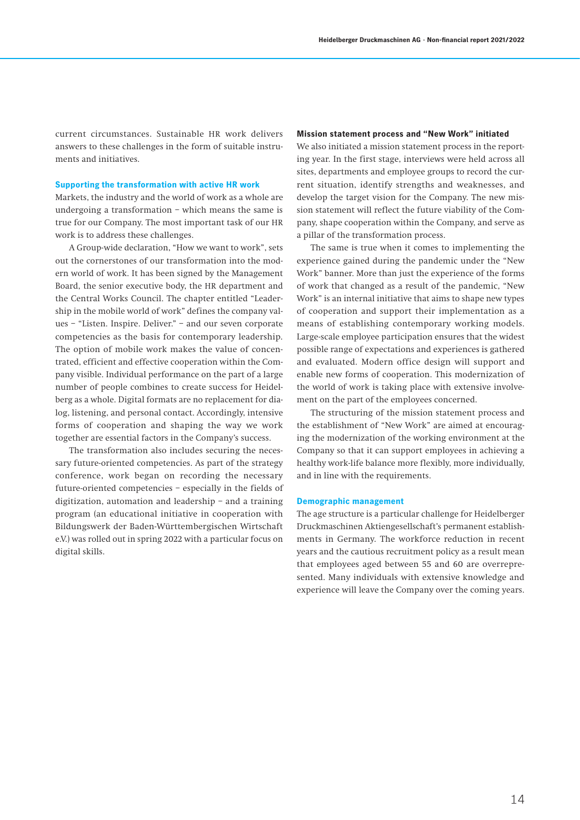current circumstances. Sustainable HR work delivers answers to these challenges in the form of suitable instruments and initiatives.

### **Supporting the transformation with active HR work**

Markets, the industry and the world of work as a whole are undergoing a transformation – which means the same is true for our Company. The most important task of our HR work is to address these challenges.

A Group-wide declaration, "How we want to work", sets out the cornerstones of our transformation into the modern world of work. It has been signed by the Management Board, the senior executive body, the HR department and the Central Works Council. The chapter entitled "Leadership in the mobile world of work" defines the company values – "Listen. Inspire. Deliver." – and our seven corporate competencies as the basis for contemporary leadership. The option of mobile work makes the value of concentrated, efficient and effective cooperation within the Company visible. Individual performance on the part of a large number of people combines to create success for Heidelberg as a whole. Digital formats are no replacement for dialog, listening, and personal contact. Accordingly, intensive forms of cooperation and shaping the way we work together are essential factors in the Company's success.

The transformation also includes securing the necessary future-oriented competencies. As part of the strategy conference, work began on recording the necessary future-oriented competencies – especially in the fields of digitization, automation and leadership – and a training program (an educational initiative in cooperation with Bildungswerk der Baden-Württembergischen Wirtschaft e.V.) was rolled out in spring 2022 with a particular focus on digital skills.

#### **Mission statement process and "New Work" initiated**

We also initiated a mission statement process in the reporting year. In the first stage, interviews were held across all sites, departments and employee groups to record the current situation, identify strengths and weaknesses, and develop the target vision for the Company. The new mission statement will reflect the future viability of the Company, shape cooperation within the Company, and serve as a pillar of the transformation process.

The same is true when it comes to implementing the experience gained during the pandemic under the "New Work" banner. More than just the experience of the forms of work that changed as a result of the pandemic, "New Work" is an internal initiative that aims to shape new types of cooperation and support their implementation as a means of establishing contemporary working models. Large-scale employee participation ensures that the widest possible range of expectations and experiences is gathered and evaluated. Modern office design will support and enable new forms of cooperation. This modernization of the world of work is taking place with extensive involvement on the part of the employees concerned.

The structuring of the mission statement process and the establishment of "New Work" are aimed at encouraging the modernization of the working environment at the Company so that it can support employees in achieving a healthy work-life balance more flexibly, more individually, and in line with the requirements.

### **Demographic management**

The age structure is a particular challenge for Heidelberger Druckmaschinen Aktiengesellschaft's permanent establishments in Germany. The workforce reduction in recent years and the cautious recruitment policy as a result mean that employees aged between 55 and 60 are overrepresented. Many individuals with extensive knowledge and experience will leave the Company over the coming years.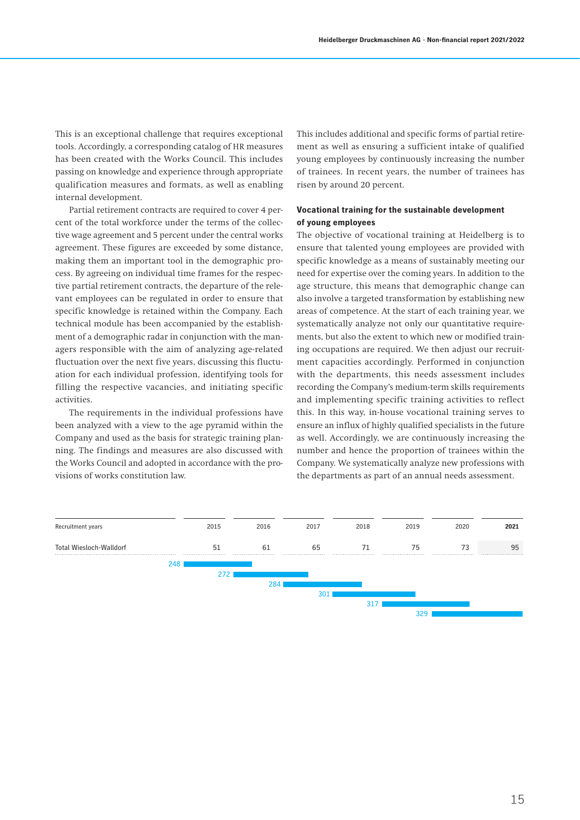This is an exceptional challenge that requires exceptional tools. Accordingly, a corresponding catalog of HR measures has been created with the Works Council. This includes passing on knowledge and experience through appropriate qualification measures and formats, as well as enabling internal development.

Partial retirement contracts are required to cover 4 percent of the total workforce under the terms of the collective wage agreement and 5 percent under the central works agreement. These figures are exceeded by some distance, making them an important tool in the demographic process. By agreeing on individual time frames for the respective partial retirement contracts, the departure of the relevant employees can be regulated in order to ensure that specific knowledge is retained within the Company. Each technical module has been accompanied by the establishment of a demographic radar in conjunction with the managers responsible with the aim of analyzing age-related fluctuation over the next five years, discussing this fluctuation for each individual profession, identifying tools for filling the respective vacancies, and initiating specific activities.

The requirements in the individual professions have been analyzed with a view to the age pyramid within the Company and used as the basis for strategic training planning. The findings and measures are also discussed with the Works Council and adopted in accordance with the provisions of works constitution law.

This includes additional and specific forms of partial retirement as well as ensuring a sufficient intake of qualified young employees by continuously increasing the number of trainees. In recent years, the number of trainees has risen by around 20 percent.

## **Vocational training for the sustainable development of young employees**

The objective of vocational training at Heidelberg is to ensure that talented young employees are provided with specific knowledge as a means of sustainably meeting our need for expertise over the coming years. In addition to the age structure, this means that demographic change can also involve a targeted transformation by establishing new areas of competence. At the start of each training year, we systematically analyze not only our quantitative requirements, but also the extent to which new or modified training occupations are required. We then adjust our recruitment capacities accordingly. Performed in conjunction with the departments, this needs assessment includes recording the Company's medium-term skills requirements and implementing specific training activities to reflect this. In this way, in-house vocational training serves to ensure an influx of highly qualified specialists in the future as well. Accordingly, we are continuously increasing the number and hence the proportion of trainees within the Company. We systematically analyze new professions with the departments as part of an annual needs assessment.

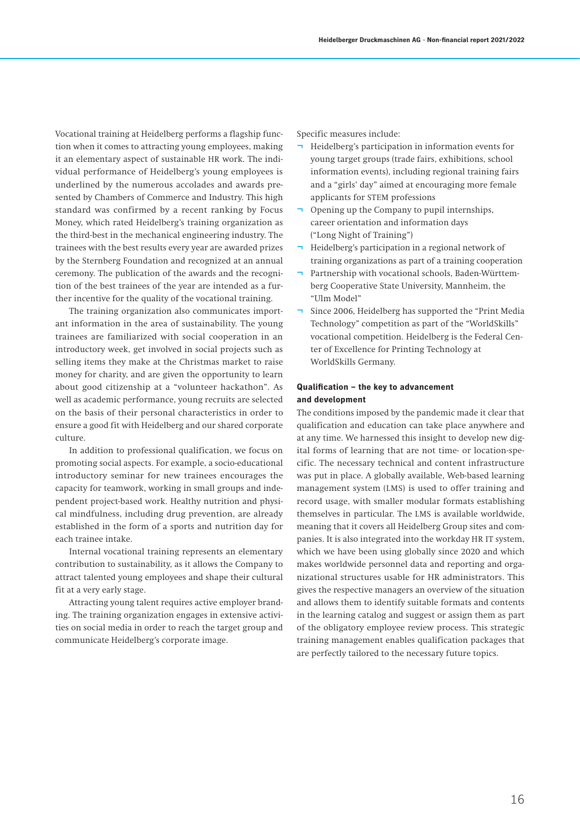Vocational training at Heidelberg performs a flagship function when it comes to attracting young employees, making it an elementary aspect of sustainable HR work. The individual performance of Heidelberg's young employees is underlined by the numerous accolades and awards presented by Chambers of Commerce and Industry. This high standard was confirmed by a recent ranking by Focus Money, which rated Heidelberg's training organization as the third-best in the mechanical engineering industry. The trainees with the best results every year are awarded prizes by the Sternberg Foundation and recognized at an annual ceremony. The publication of the awards and the recognition of the best trainees of the year are intended as a further incentive for the quality of the vocational training.

The training organization also communicates important information in the area of sustainability. The young trainees are familiarized with social cooperation in an introductory week, get involved in social projects such as selling items they make at the Christmas market to raise money for charity, and are given the opportunity to learn about good citizenship at a "volunteer hackathon". As well as academic performance, young recruits are selected on the basis of their personal characteristics in order to ensure a good fit with Heidelberg and our shared corporate culture.

In addition to professional qualification, we focus on promoting social aspects. For example, a socio-educational introductory seminar for new trainees encourages the capacity for teamwork, working in small groups and independent project-based work. Healthy nutrition and physical mindfulness, including drug prevention, are already established in the form of a sports and nutrition day for each trainee intake.

Internal vocational training represents an elementary contribution to sustainability, as it allows the Company to attract talented young employees and shape their cultural fit at a very early stage.

Attracting young talent requires active employer branding. The training organization engages in extensive activities on social media in order to reach the target group and communicate Heidelberg's corporate image.

Specific measures include:

- ¬ Heidelberg's participation in information events for young target groups (trade fairs, exhibitions, school information events), including regional training fairs and a "girls' day" aimed at encouraging more female applicants for STEM professions
- Opening up the Company to pupil internships, career orientation and information days ("Long Night of Training")
- ¬ Heidelberg's participation in a regional network of training organizations as part of a training cooperation
- Partnership with vocational schools, Baden-Württemberg Cooperative State University, Mannheim, the "Ulm Model"
- ¬ Since 2006, Heidelberg has supported the "Print Media Technology" competition as part of the "WorldSkills" vocational competition. Heidelberg is the Federal Center of Excellence for Printing Technology at WorldSkills Germany.

# **Qualification – the key to advancement and development**

The conditions imposed by the pandemic made it clear that qualification and education can take place anywhere and at any time. We harnessed this insight to develop new digital forms of learning that are not time- or location-specific. The necessary technical and content infrastructure was put in place. A globally available, Web-based learning management system (LMS) is used to offer training and record usage, with smaller modular formats establishing themselves in particular. The LMS is available worldwide, meaning that it covers all Heidelberg Group sites and companies. It is also integrated into the workday HR IT system, which we have been using globally since 2020 and which makes worldwide personnel data and reporting and organizational structures usable for HR administrators. This gives the respective managers an overview of the situation and allows them to identify suitable formats and contents in the learning catalog and suggest or assign them as part of the obligatory employee review process. This strategic training management enables qualification packages that are perfectly tailored to the necessary future topics.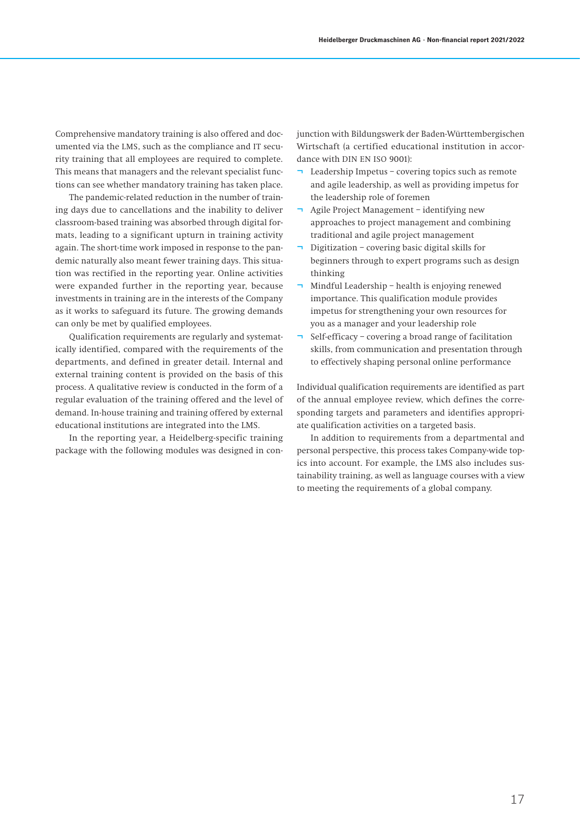Comprehensive mandatory training is also offered and documented via the LMS, such as the compliance and IT security training that all employees are required to complete. This means that managers and the relevant specialist functions can see whether mandatory training has taken place.

The pandemic-related reduction in the number of training days due to cancellations and the inability to deliver classroom-based training was absorbed through digital formats, leading to a significant upturn in training activity again. The short-time work imposed in response to the pandemic naturally also meant fewer training days. This situation was rectified in the reporting year. Online activities were expanded further in the reporting year, because investments in training are in the interests of the Company as it works to safeguard its future. The growing demands can only be met by qualified employees.

Qualification requirements are regularly and systematically identified, compared with the requirements of the departments, and defined in greater detail. Internal and external training content is provided on the basis of this process. A qualitative review is conducted in the form of a regular evaluation of the training offered and the level of demand. In-house training and training offered by external educational institutions are integrated into the LMS.

In the reporting year, a Heidelberg-specific training package with the following modules was designed in conjunction with Bildungswerk der Baden-Württembergischen Wirtschaft (a certified educational institution in accordance with DIN EN ISO 9001):

- Leadership Impetus covering topics such as remote and agile leadership, as well as providing impetus for the leadership role of foremen
- Agile Project Management identifying new approaches to project management and combining traditional and agile project management
- Digitization covering basic digital skills for beginners through to expert programs such as design thinking
- Mindful Leadership health is enjoying renewed importance. This qualification module provides impetus for strengthening your own resources for you as a manager and your leadership role
- Self-efficacy covering a broad range of facilitation skills, from communication and presentation through to effectively shaping personal online performance

Individual qualification requirements are identified as part of the annual employee review, which defines the corresponding targets and parameters and identifies appropriate qualification activities on a targeted basis.

In addition to requirements from a departmental and personal perspective, this process takes Company-wide topics into account. For example, the LMS also includes sustainability training, as well as language courses with a view to meeting the requirements of a global company.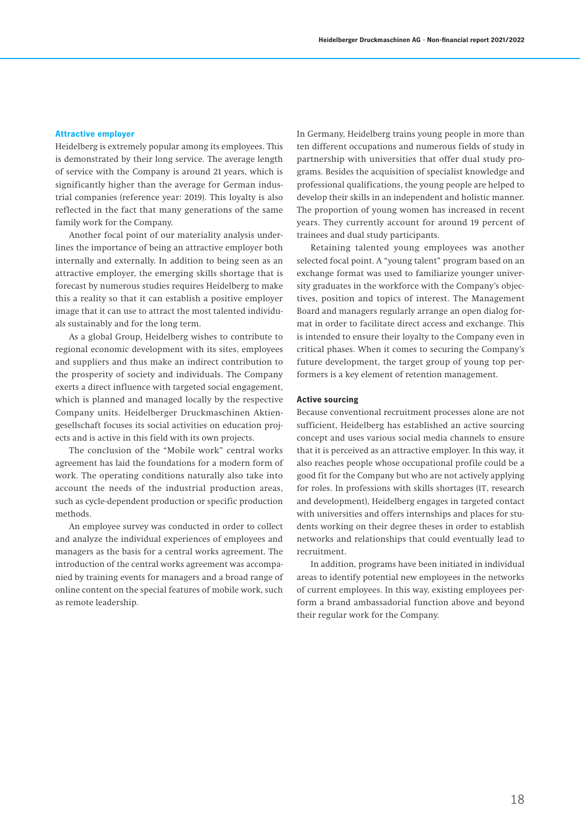### **Attractive employer**

Heidelberg is extremely popular among its employees. This is demonstrated by their long service. The average length of service with the Company is around 21 years, which is significantly higher than the average for German industrial companies (reference year: 2019). This loyalty is also reflected in the fact that many generations of the same family work for the Company.

Another focal point of our materiality analysis underlines the importance of being an attractive employer both internally and externally. In addition to being seen as an attractive employer, the emerging skills shortage that is forecast by numerous studies requires Heidelberg to make this a reality so that it can establish a positive employer image that it can use to attract the most talented individuals sustainably and for the long term.

As a global Group, Heidelberg wishes to contribute to regional economic development with its sites, employees and suppliers and thus make an indirect contribution to the prosperity of society and individuals. The Company exerts a direct influence with targeted social engagement, which is planned and managed locally by the respective Company units. Heidelberger Druckmaschinen Aktiengesellschaft focuses its social activities on education projects and is active in this field with its own projects.

The conclusion of the "Mobile work" central works agreement has laid the foundations for a modern form of work. The operating conditions naturally also take into account the needs of the industrial production areas, such as cycle-dependent production or specific production methods.

An employee survey was conducted in order to collect and analyze the individual experiences of employees and managers as the basis for a central works agreement. The introduction of the central works agreement was accompanied by training events for managers and a broad range of online content on the special features of mobile work, such as remote leadership.

In Germany, Heidelberg trains young people in more than ten different occupations and numerous fields of study in partnership with universities that offer dual study programs. Besides the acquisition of specialist knowledge and professional qualifications, the young people are helped to develop their skills in an independent and holistic manner. The proportion of young women has increased in recent years. They currently account for around 19 percent of trainees and dual study participants.

Retaining talented young employees was another selected focal point. A "young talent" program based on an exchange format was used to familiarize younger university graduates in the workforce with the Company's objectives, position and topics of interest. The Management Board and managers regularly arrange an open dialog format in order to facilitate direct access and exchange. This is intended to ensure their loyalty to the Company even in critical phases. When it comes to securing the Company's future development, the target group of young top performers is a key element of retention management.

### **Active sourcing**

Because conventional recruitment processes alone are not sufficient, Heidelberg has established an active sourcing concept and uses various social media channels to ensure that it is perceived as an attractive employer. In this way, it also reaches people whose occupational profile could be a good fit for the Company but who are not actively applying for roles. In professions with skills shortages (IT, research and development), Heidelberg engages in targeted contact with universities and offers internships and places for students working on their degree theses in order to establish networks and relationships that could eventually lead to recruitment.

In addition, programs have been initiated in individual areas to identify potential new employees in the networks of current employees. In this way, existing employees perform a brand ambassadorial function above and beyond their regular work for the Company.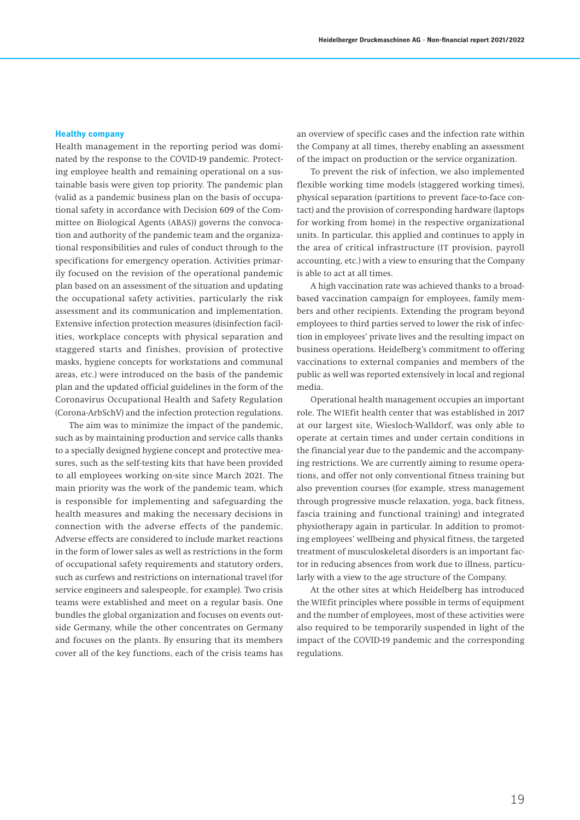### **Healthy company**

Health management in the reporting period was dominated by the response to the COVID-19 pandemic. Protecting employee health and remaining operational on a sustainable basis were given top priority. The pandemic plan (valid as a pandemic business plan on the basis of occupational safety in accordance with Decision 609 of the Committee on Biological Agents (ABAS)) governs the convocation and authority of the pandemic team and the organizational responsibilities and rules of conduct through to the specifications for emergency operation. Activities primarily focused on the revision of the operational pandemic plan based on an assessment of the situation and updating the occupational safety activities, particularly the risk assessment and its communication and implementation. Extensive infection protection measures (disinfection facilities, workplace concepts with physical separation and staggered starts and finishes, provision of protective masks, hygiene concepts for workstations and communal areas, etc.) were introduced on the basis of the pandemic plan and the updated official guidelines in the form of the Coronavirus Occupational Health and Safety Regulation (Corona-ArbSchV) and the infection protection regulations.

The aim was to minimize the impact of the pandemic, such as by maintaining production and service calls thanks to a specially designed hygiene concept and protective measures, such as the self-testing kits that have been provided to all employees working on-site since March 2021. The main priority was the work of the pandemic team, which is responsible for implementing and safeguarding the health measures and making the necessary decisions in connection with the adverse effects of the pandemic. Adverse effects are considered to include market reactions in the form of lower sales as well as restrictions in the form of occupational safety requirements and statutory orders, such as curfews and restrictions on international travel (for service engineers and salespeople, for example). Two crisis teams were established and meet on a regular basis. One bundles the global organization and focuses on events outside Germany, while the other concentrates on Germany and focuses on the plants. By ensuring that its members cover all of the key functions, each of the crisis teams has an overview of specific cases and the infection rate within the Company at all times, thereby enabling an assessment of the impact on production or the service organization.

To prevent the risk of infection, we also implemented flexible working time models (staggered working times), physical separation (partitions to prevent face-to-face contact) and the provision of corresponding hardware (laptops for working from home) in the respective organizational units. In particular, this applied and continues to apply in the area of critical infrastructure (IT provision, payroll accounting, etc.) with a view to ensuring that the Company is able to act at all times.

A high vaccination rate was achieved thanks to a broadbased vaccination campaign for employees, family members and other recipients. Extending the program beyond employees to third parties served to lower the risk of infection in employees' private lives and the resulting impact on business operations. Heidelberg's commitment to offering vaccinations to external companies and members of the public as well was reported extensively in local and regional media.

Operational health management occupies an important role. The WIEfit health center that was established in 2017 at our largest site, Wiesloch-Walldorf, was only able to operate at certain times and under certain conditions in the financial year due to the pandemic and the accompanying restrictions. We are currently aiming to resume operations, and offer not only conventional fitness training but also prevention courses (for example, stress management through progressive muscle relaxation, yoga, back fitness, fascia training and functional training) and integrated physiotherapy again in particular. In addition to promoting employees' wellbeing and physical fitness, the targeted treatment of musculoskeletal disorders is an important factor in reducing absences from work due to illness, particularly with a view to the age structure of the Company.

At the other sites at which Heidelberg has introduced the WIEfit principles where possible in terms of equipment and the number of employees, most of these activities were also required to be temporarily suspended in light of the impact of the COVID-19 pandemic and the corresponding regulations.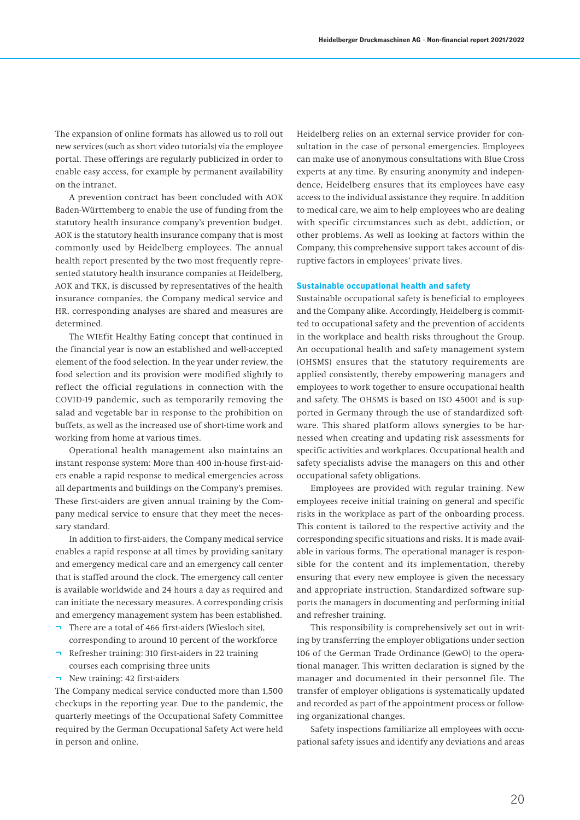The expansion of online formats has allowed us to roll out new services (such as short video tutorials) via the employee portal. These offerings are regularly publicized in order to enable easy access, for example by permanent availability on the intranet.

A prevention contract has been concluded with AOK Baden-Württemberg to enable the use of funding from the statutory health insurance company's prevention budget. AOK is the statutory health insurance company that is most commonly used by Heidelberg employees. The annual health report presented by the two most frequently represented statutory health insurance companies at Heidelberg, AOK and TKK, is discussed by representatives of the health insurance companies, the Company medical service and HR, corresponding analyses are shared and measures are determined.

The WIEfit Healthy Eating concept that continued in the financial year is now an established and well-accepted element of the food selection. In the year under review, the food selection and its provision were modified slightly to reflect the official regulations in connection with the COVID-19 pandemic, such as temporarily removing the salad and vegetable bar in response to the prohibition on buffets, as well as the increased use of short-time work and working from home at various times.

Operational health management also maintains an instant response system: More than 400 in-house first-aiders enable a rapid response to medical emergencies across all departments and buildings on the Company's premises. These first-aiders are given annual training by the Company medical service to ensure that they meet the necessary standard.

In addition to first-aiders, the Company medical service enables a rapid response at all times by providing sanitary and emergency medical care and an emergency call center that is staffed around the clock. The emergency call center is available worldwide and 24 hours a day as required and can initiate the necessary measures. A corresponding crisis and emergency management system has been established.

- ¬ There are a total of 466 first-aiders (Wiesloch site), corresponding to around 10 percent of the workforce
- Refresher training: 310 first-aiders in 22 training courses each comprising three units
- ¬ New training: 42 first-aiders

The Company medical service conducted more than 1,500 checkups in the reporting year. Due to the pandemic, the quarterly meetings of the Occupational Safety Committee required by the German Occupational Safety Act were held in person and online.

Heidelberg relies on an external service provider for consultation in the case of personal emergencies. Employees can make use of anonymous consultations with Blue Cross experts at any time. By ensuring anonymity and independence, Heidelberg ensures that its employees have easy access to the individual assistance they require. In addition to medical care, we aim to help employees who are dealing with specific circumstances such as debt, addiction, or other problems. As well as looking at factors within the Company, this comprehensive support takes account of disruptive factors in employees' private lives.

### **Sustainable occupational health and safety**

Sustainable occupational safety is beneficial to employees and the Company alike. Accordingly, Heidelberg is committed to occupational safety and the prevention of accidents in the workplace and health risks throughout the Group. An occupational health and safety management system (OHSMS) ensures that the statutory requirements are applied consistently, thereby empowering managers and employees to work together to ensure occupational health and safety. The OHSMS is based on ISO 45001 and is supported in Germany through the use of standardized software. This shared platform allows synergies to be harnessed when creating and updating risk assessments for specific activities and workplaces. Occupational health and safety specialists advise the managers on this and other occupational safety obligations.

Employees are provided with regular training. New employees receive initial training on general and specific risks in the workplace as part of the onboarding process. This content is tailored to the respective activity and the corresponding specific situations and risks. It is made available in various forms. The operational manager is responsible for the content and its implementation, thereby ensuring that every new employee is given the necessary and appropriate instruction. Standardized software supports the managers in documenting and performing initial and refresher training.

This responsibility is comprehensively set out in writing by transferring the employer obligations under section 106 of the German Trade Ordinance (GewO) to the operational manager. This written declaration is signed by the manager and documented in their personnel file. The transfer of employer obligations is systematically updated and recorded as part of the appointment process or following organizational changes.

Safety inspections familiarize all employees with occupational safety issues and identify any deviations and areas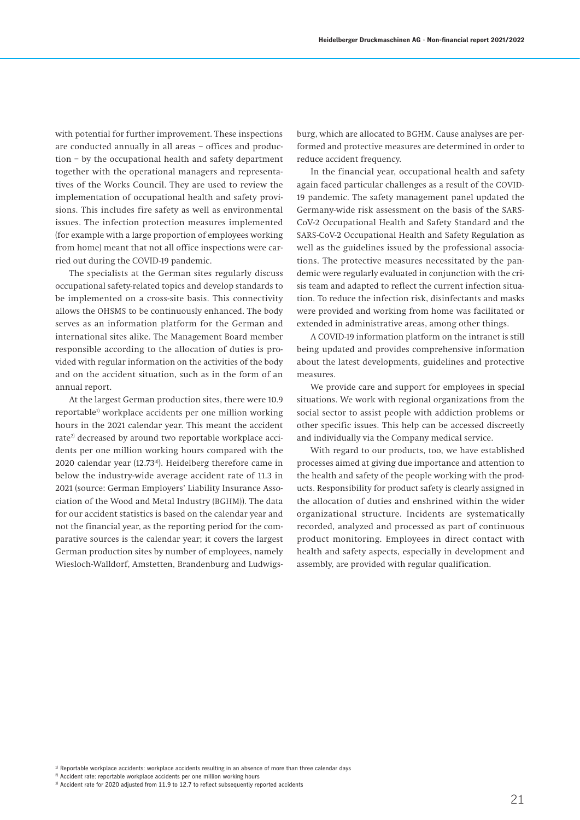with potential for further improvement. These inspections are conducted annually in all areas – offices and production – by the occupational health and safety department together with the operational managers and representatives of the Works Council. They are used to review the implementation of occupational health and safety provisions. This includes fire safety as well as environmental issues. The infection protection measures implemented (for example with a large proportion of employees working from home) meant that not all office inspections were carried out during the COVID-19 pandemic.

The specialists at the German sites regularly discuss occupational safety-related topics and develop standards to be implemented on a cross-site basis. This connectivity allows the OHSMS to be continuously enhanced. The body serves as an information platform for the German and international sites alike. The Management Board member responsible according to the allocation of duties is provided with regular information on the activities of the body and on the accident situation, such as in the form of an annual report.

At the largest German production sites, there were 10.9 reportable<sup>1)</sup> workplace accidents per one million working hours in the 2021 calendar year. This meant the accident rate<sup>2)</sup> decreased by around two reportable workplace accidents per one million working hours compared with the 2020 calendar year (12.733)). Heidelberg therefore came in below the industry-wide average accident rate of 11.3 in 2021 (source: German Employers' Liability Insurance Association of the Wood and Metal Industry (BGHM)). The data for our accident statistics is based on the calendar year and not the financial year, as the reporting period for the comparative sources is the calendar year; it covers the largest German production sites by number of employees, namely Wiesloch-Walldorf, Amstetten, Brandenburg and Ludwigs-

burg, which are allocated to BGHM. Cause analyses are performed and protective measures are determined in order to reduce accident frequency.

In the financial year, occupational health and safety again faced particular challenges as a result of the COVID-19 pandemic. The safety management panel updated the Germany-wide risk assessment on the basis of the SARS-CoV-2 Occupational Health and Safety Standard and the SARS-CoV-2 Occupational Health and Safety Regulation as well as the guidelines issued by the professional associations. The protective measures necessitated by the pandemic were regularly evaluated in conjunction with the crisis team and adapted to reflect the current infection situation. To reduce the infection risk, disinfectants and masks were provided and working from home was facilitated or extended in administrative areas, among other things.

A COVID-19 information platform on the intranet is still being updated and provides comprehensive information about the latest developments, guidelines and protective measures.

We provide care and support for employees in special situations. We work with regional organizations from the social sector to assist people with addiction problems or other specific issues. This help can be accessed discreetly and individually via the Company medical service.

With regard to our products, too, we have established processes aimed at giving due importance and attention to the health and safety of the people working with the products. Responsibility for product safety is clearly assigned in the allocation of duties and enshrined within the wider organizational structure. Incidents are systematically recorded, analyzed and processed as part of continuous product monitoring. Employees in direct contact with health and safety aspects, especially in development and assembly, are provided with regular qualification.

<sup>1)</sup> Reportable workplace accidents: workplace accidents resulting in an absence of more than three calendar days

<sup>&</sup>lt;sup>2)</sup> Accident rate: reportable workplace accidents per one million working hours

<sup>&</sup>lt;sup>3)</sup> Accident rate for 2020 adjusted from 11.9 to 12.7 to reflect subsequently reported accidents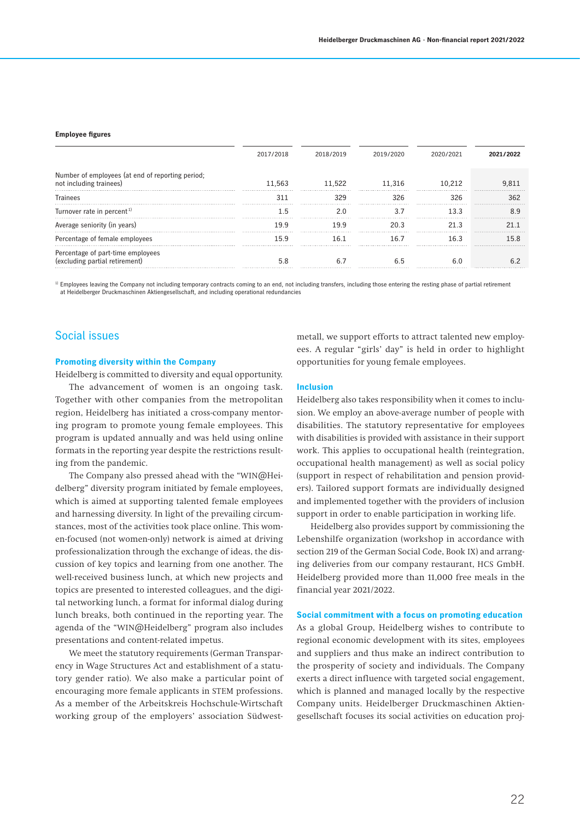#### **Employee figures**

|                                                                             | 2017/2018 | 2018/2019 | 2019/2020 | 2020/2021 | 2021/2022 |
|-----------------------------------------------------------------------------|-----------|-----------|-----------|-----------|-----------|
| Number of employees (at end of reporting period;<br>not including trainees) | 11.563    | 11.522    | 11.316    | 10.212    |           |
| <b>Trainees</b>                                                             | 311       | 329       | 326       | 326       | 362       |
| Turnover rate in percent <sup>1)</sup>                                      | - հ       | 2 በ       |           | 133       |           |
| Average seniority (in years)                                                | 199       | 19 9      | 20 3      | 21.3      |           |
| Percentage of female employees                                              | 159       | 16 1      | 16 7      | 16 3      | 158       |
| Percentage of part-time employees<br>(excluding partial retirement)         | 5.8       |           |           | 6 በ       |           |

1) Employees leaving the Company not including temporary contracts coming to an end, not including transfers, including those entering the resting phase of partial retirement at Heidelberger Druckmaschinen Aktiengesellschaft, and including operational redundancies

# Social issues

### **Promoting diversity within the Company**

Heidelberg is committed to diversity and equal opportunity.

The advancement of women is an ongoing task. Together with other companies from the metropolitan region, Heidelberg has initiated a cross-company mentoring program to promote young female employees. This program is updated annually and was held using online formats in the reporting year despite the restrictions resulting from the pandemic.

The Company also pressed ahead with the "WIN@Heidelberg" diversity program initiated by female employees, which is aimed at supporting talented female employees and harnessing diversity. In light of the prevailing circumstances, most of the activities took place online. This women-focused (not women-only) network is aimed at driving professionalization through the exchange of ideas, the discussion of key topics and learning from one another. The well-received business lunch, at which new projects and topics are presented to interested colleagues, and the digital networking lunch, a format for informal dialog during lunch breaks, both continued in the reporting year. The agenda of the "WIN@Heidelberg" program also includes presentations and content-related impetus.

We meet the statutory requirements (German Transparency in Wage Structures Act and establishment of a statutory gender ratio). We also make a particular point of encouraging more female applicants in STEM professions. As a member of the Arbeitskreis Hochschule-Wirtschaft working group of the employers' association Südwestmetall, we support efforts to attract talented new employees. A regular "girls' day" is held in order to highlight opportunities for young female employees.

#### **Inclusion**

Heidelberg also takes responsibility when it comes to inclusion. We employ an above-average number of people with disabilities. The statutory representative for employees with disabilities is provided with assistance in their support work. This applies to occupational health (reintegration, occupational health management) as well as social policy (support in respect of rehabilitation and pension providers). Tailored support formats are individually designed and implemented together with the providers of inclusion support in order to enable participation in working life.

Heidelberg also provides support by commissioning the Lebenshilfe organization (workshop in accordance with section 219 of the German Social Code, Book IX) and arranging deliveries from our company restaurant, HCS GmbH. Heidelberg provided more than 11,000 free meals in the financial year 2021/2022.

#### **Social commitment with a focus on promoting education**

As a global Group, Heidelberg wishes to contribute to regional economic development with its sites, employees and suppliers and thus make an indirect contribution to the prosperity of society and individuals. The Company exerts a direct influence with targeted social engagement, which is planned and managed locally by the respective Company units. Heidelberger Druckmaschinen Aktiengesellschaft focuses its social activities on education proj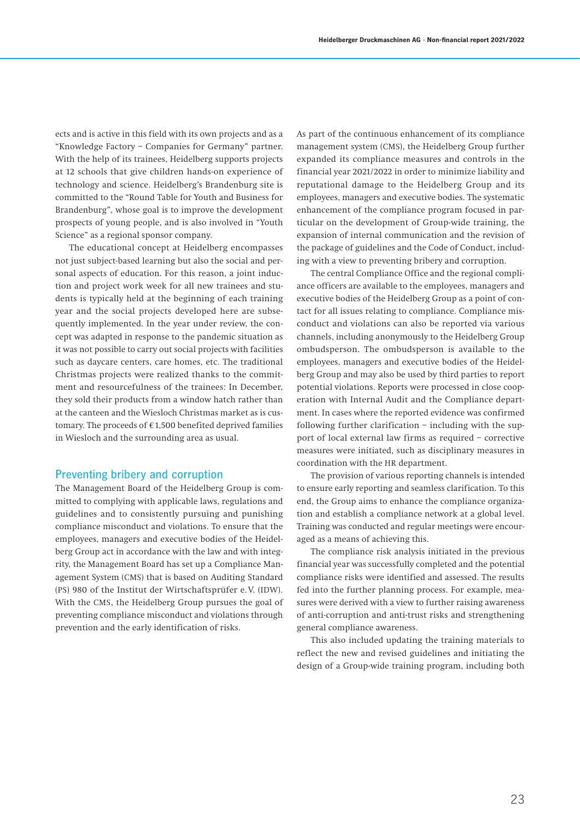ects and is active in this field with its own projects and as a "Knowledge Factory – Companies for Germany" partner. With the help of its trainees, Heidelberg supports projects at 12 schools that give children hands-on experience of technology and science. Heidelberg's Brandenburg site is committed to the "Round Table for Youth and Business for Brandenburg", whose goal is to improve the development prospects of young people, and is also involved in "Youth Science" as a regional sponsor company.

The educational concept at Heidelberg encompasses not just subject-based learning but also the social and personal aspects of education. For this reason, a joint induction and project work week for all new trainees and students is typically held at the beginning of each training year and the social projects developed here are subsequently implemented. In the year under review, the concept was adapted in response to the pandemic situation as it was not possible to carry out social projects with facilities such as daycare centers, care homes, etc. The traditional Christmas projects were realized thanks to the commitment and resourcefulness of the trainees: In December, they sold their products from a window hatch rather than at the canteen and the Wiesloch Christmas market as is customary. The proceeds of  $€1,500$  benefited deprived families in Wiesloch and the surrounding area as usual.

## Preventing bribery and corruption

The Management Board of the Heidelberg Group is committed to complying with applicable laws, regulations and guidelines and to consistently pursuing and punishing compliance misconduct and violations. To ensure that the employees, managers and executive bodies of the Heidelberg Group act in accordance with the law and with integrity, the Management Board has set up a Compliance Management System (CMS) that is based on Auditing Standard (PS) 980 of the Institut der Wirtschaftsprüfer e.V. (IDW). With the CMS, the Heidelberg Group pursues the goal of preventing compliance misconduct and violations through prevention and the early identification of risks.

As part of the continuous enhancement of its compliance management system (CMS), the Heidelberg Group further expanded its compliance measures and controls in the financial year 2021/2022 in order to minimize liability and reputational damage to the Heidelberg Group and its employees, managers and executive bodies. The systematic enhancement of the compliance program focused in particular on the development of Group-wide training, the expansion of internal communication and the revision of the package of guidelines and the Code of Conduct, including with a view to preventing bribery and corruption.

The central Compliance Office and the regional compliance officers are available to the employees, managers and executive bodies of the Heidelberg Group as a point of contact for all issues relating to compliance. Compliance misconduct and violations can also be reported via various channels, including anonymously to the Heidelberg Group ombudsperson. The ombudsperson is available to the employees, managers and executive bodies of the Heidelberg Group and may also be used by third parties to report potential violations. Reports were processed in close cooperation with Internal Audit and the Compliance department. In cases where the reported evidence was confirmed following further clarification – including with the support of local external law firms as required – corrective measures were initiated, such as disciplinary measures in coordination with the HR department.

The provision of various reporting channels is intended to ensure early reporting and seamless clarification. To this end, the Group aims to enhance the compliance organization and establish a compliance network at a global level. Training was conducted and regular meetings were encouraged as a means of achieving this.

The compliance risk analysis initiated in the previous financial year was successfully completed and the potential compliance risks were identified and assessed. The results fed into the further planning process. For example, measures were derived with a view to further raising awareness of anti-corruption and anti-trust risks and strengthening general compliance awareness.

This also included updating the training materials to reflect the new and revised guidelines and initiating the design of a Group-wide training program, including both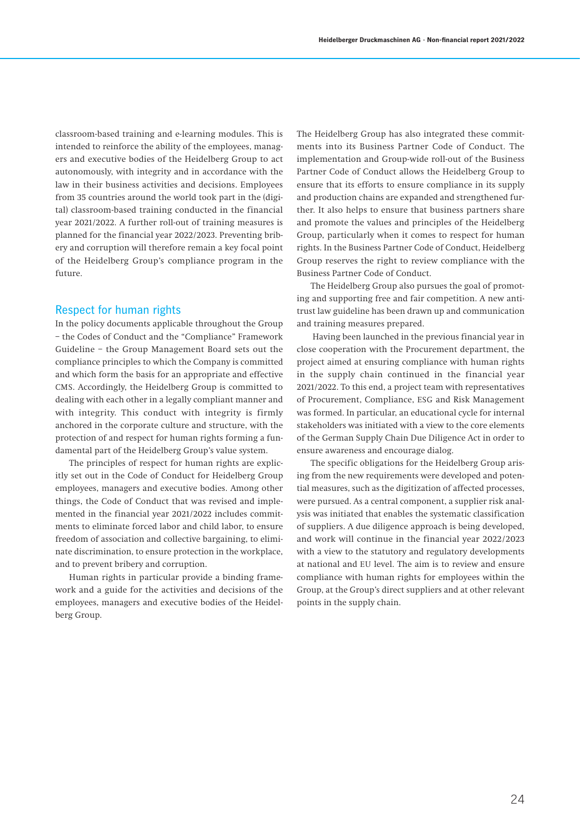classroom-based training and e-learning modules. This is intended to reinforce the ability of the employees, managers and executive bodies of the Heidelberg Group to act autonomously, with integrity and in accordance with the law in their business activities and decisions. Employees from 35 countries around the world took part in the (digital) classroom-based training conducted in the financial year 2021/2022. A further roll-out of training measures is planned for the financial year 2022/2023. Preventing bribery and corruption will therefore remain a key focal point of the Heidelberg Group's compliance program in the future.

## Respect for human rights

In the policy documents applicable throughout the Group – the Codes of Conduct and the "Compliance" Framework Guideline – the Group Management Board sets out the compliance principles to which the Company is committed and which form the basis for an appropriate and effective CMS. Accordingly, the Heidelberg Group is committed to dealing with each other in a legally compliant manner and with integrity. This conduct with integrity is firmly anchored in the corporate culture and structure, with the protection of and respect for human rights forming a fundamental part of the Heidelberg Group's value system.

The principles of respect for human rights are explicitly set out in the Code of Conduct for Heidelberg Group employees, managers and executive bodies. Among other things, the Code of Conduct that was revised and implemented in the financial year 2021/2022 includes commitments to eliminate forced labor and child labor, to ensure freedom of association and collective bargaining, to eliminate discrimination, to ensure protection in the workplace, and to prevent bribery and corruption.

Human rights in particular provide a binding framework and a guide for the activities and decisions of the employees, managers and executive bodies of the Heidelberg Group.

The Heidelberg Group has also integrated these commitments into its Business Partner Code of Conduct. The implementation and Group-wide roll-out of the Business Partner Code of Conduct allows the Heidelberg Group to ensure that its efforts to ensure compliance in its supply and production chains are expanded and strengthened further. It also helps to ensure that business partners share and promote the values and principles of the Heidelberg Group, particularly when it comes to respect for human rights. In the Business Partner Code of Conduct, Heidelberg Group reserves the right to review compliance with the Business Partner Code of Conduct.

The Heidelberg Group also pursues the goal of promoting and supporting free and fair competition. A new antitrust law guideline has been drawn up and communication and training measures prepared.

 Having been launched in the previous financial year in close cooperation with the Procurement department, the project aimed at ensuring compliance with human rights in the supply chain continued in the financial year 2021/2022. To this end, a project team with representatives of Procurement, Compliance, ESG and Risk Management was formed. In particular, an educational cycle for internal stakeholders was initiated with a view to the core elements of the German Supply Chain Due Diligence Act in order to ensure awareness and encourage dialog.

The specific obligations for the Heidelberg Group arising from the new requirements were developed and potential measures, such as the digitization of affected processes, were pursued. As a central component, a supplier risk analysis was initiated that enables the systematic classification of suppliers. A due diligence approach is being developed, and work will continue in the financial year 2022/2023 with a view to the statutory and regulatory developments at national and EU level. The aim is to review and ensure compliance with human rights for employees within the Group, at the Group's direct suppliers and at other relevant points in the supply chain.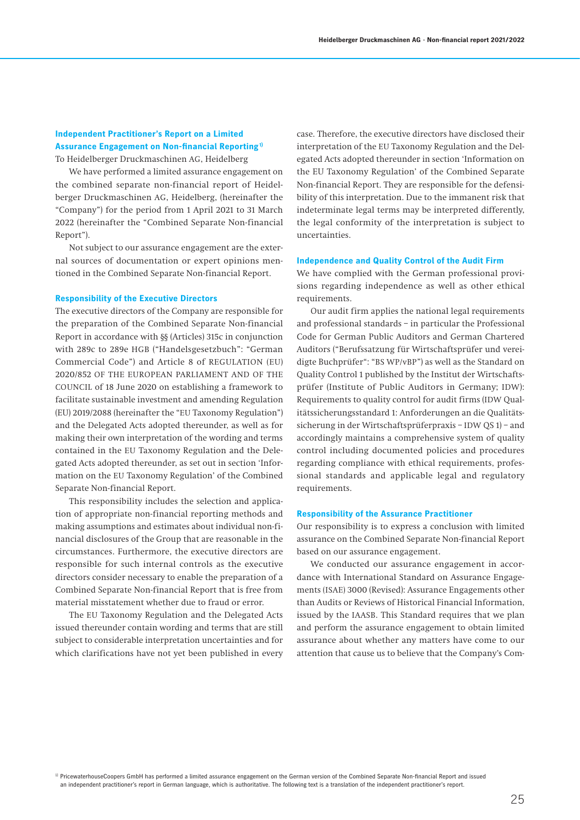# **Independent Practitioner's Report on a Limited Assurance Engagement on Non-financial Reporting 1)**

To Heidelberger Druckmaschinen AG, Heidelberg

We have performed a limited assurance engagement on the combined separate non-financial report of Heidelberger Druckmaschinen AG, Heidelberg, (hereinafter the "Company") for the period from 1 April 2021 to 31 March 2022 (hereinafter the "Combined Separate Non-financial Report").

Not subject to our assurance engagement are the external sources of documentation or expert opinions mentioned in the Combined Separate Non-financial Report.

### **Responsibility of the Executive Directors**

The executive directors of the Company are responsible for the preparation of the Combined Separate Non-financial Report in accordance with §§ (Articles) 315c in conjunction with 289c to 289e HGB ("Handelsgesetzbuch": "German Commercial Code") and Article 8 of REGULATION (EU) 2020/852 OF THE EUROPEAN PARLIAMENT AND OF THE COUNCIL of 18 June 2020 on establishing a framework to facilitate sustainable investment and amending Regulation (EU) 2019/2088 (hereinafter the "EU Taxonomy Regulation") and the Delegated Acts adopted thereunder, as well as for making their own interpretation of the wording and terms contained in the EU Taxonomy Regulation and the Delegated Acts adopted thereunder, as set out in section 'Information on the EU Taxonomy Regulation' of the Combined Separate Non-financial Report.

This responsibility includes the selection and application of appropriate non-financial reporting methods and making assumptions and estimates about individual non-financial disclosures of the Group that are reasonable in the circumstances. Furthermore, the executive directors are responsible for such internal controls as the executive directors consider necessary to enable the preparation of a Combined Separate Non-financial Report that is free from material misstatement whether due to fraud or error.

The EU Taxonomy Regulation and the Delegated Acts issued thereunder contain wording and terms that are still subject to considerable interpretation uncertainties and for which clarifications have not yet been published in every case. Therefore, the executive directors have disclosed their interpretation of the EU Taxonomy Regulation and the Delegated Acts adopted thereunder in section 'Information on the EU Taxonomy Regulation' of the Combined Separate Non-financial Report. They are responsible for the defensibility of this interpretation. Due to the immanent risk that indeterminate legal terms may be interpreted differently, the legal conformity of the interpretation is subject to uncertainties.

### **Independence and Quality Control of the Audit Firm**

We have complied with the German professional provisions regarding independence as well as other ethical requirements.

Our audit firm applies the national legal requirements and professional standards – in particular the Professional Code for German Public Auditors and German Chartered Auditors ("Berufssatzung für Wirtschaftsprüfer und vereidigte Buchprüfer": "BS WP/vBP") as well as the Standard on Quality Control 1 published by the Institut der Wirtschaftsprüfer (Institute of Public Auditors in Germany; IDW): Requirements to quality control for audit firms (IDW Qualitätssicherungsstandard 1: Anforderungen an die Qualitätssicherung in der Wirtschaftsprüferpraxis – IDW QS 1) – and accordingly maintains a comprehensive system of quality control including documented policies and procedures regarding compliance with ethical requirements, professional standards and applicable legal and regulatory requirements.

### **Responsibility of the Assurance Practitioner**

Our responsibility is to express a conclusion with limited assurance on the Combined Separate Non-financial Report based on our assurance engagement.

We conducted our assurance engagement in accordance with International Standard on Assurance Engagements (ISAE) 3000 (Revised): Assurance Engagements other than Audits or Reviews of Historical Financial Information, issued by the IAASB. This Standard requires that we plan and perform the assurance engagement to obtain limited assurance about whether any matters have come to our attention that cause us to believe that the Company's Com-

1) PricewaterhouseCoopers GmbH has performed a limited assurance engagement on the German version of the Combined Separate Non-financial Report and issued an independent practitioner's report in German language, which is authoritative. The following text is a translation of the independent practitioner's report.